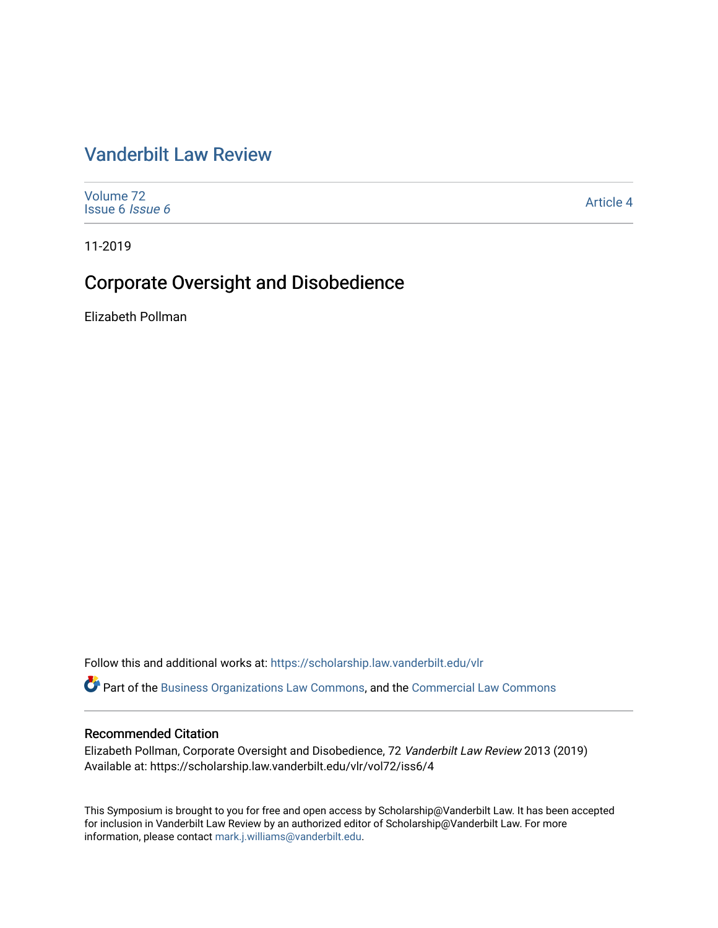# [Vanderbilt Law Review](https://scholarship.law.vanderbilt.edu/vlr)

[Volume 72](https://scholarship.law.vanderbilt.edu/vlr/vol72) [Issue 6](https://scholarship.law.vanderbilt.edu/vlr/vol72/iss6) Issue 6 [Article 4](https://scholarship.law.vanderbilt.edu/vlr/vol72/iss6/4) 

11-2019

# Corporate Oversight and Disobedience

Elizabeth Pollman

Follow this and additional works at: [https://scholarship.law.vanderbilt.edu/vlr](https://scholarship.law.vanderbilt.edu/vlr?utm_source=scholarship.law.vanderbilt.edu%2Fvlr%2Fvol72%2Fiss6%2F4&utm_medium=PDF&utm_campaign=PDFCoverPages)

Part of the [Business Organizations Law Commons](http://network.bepress.com/hgg/discipline/900?utm_source=scholarship.law.vanderbilt.edu%2Fvlr%2Fvol72%2Fiss6%2F4&utm_medium=PDF&utm_campaign=PDFCoverPages), and the [Commercial Law Commons](http://network.bepress.com/hgg/discipline/586?utm_source=scholarship.law.vanderbilt.edu%2Fvlr%2Fvol72%2Fiss6%2F4&utm_medium=PDF&utm_campaign=PDFCoverPages) 

# Recommended Citation

Elizabeth Pollman, Corporate Oversight and Disobedience, 72 Vanderbilt Law Review 2013 (2019) Available at: https://scholarship.law.vanderbilt.edu/vlr/vol72/iss6/4

This Symposium is brought to you for free and open access by Scholarship@Vanderbilt Law. It has been accepted for inclusion in Vanderbilt Law Review by an authorized editor of Scholarship@Vanderbilt Law. For more information, please contact [mark.j.williams@vanderbilt.edu](mailto:mark.j.williams@vanderbilt.edu).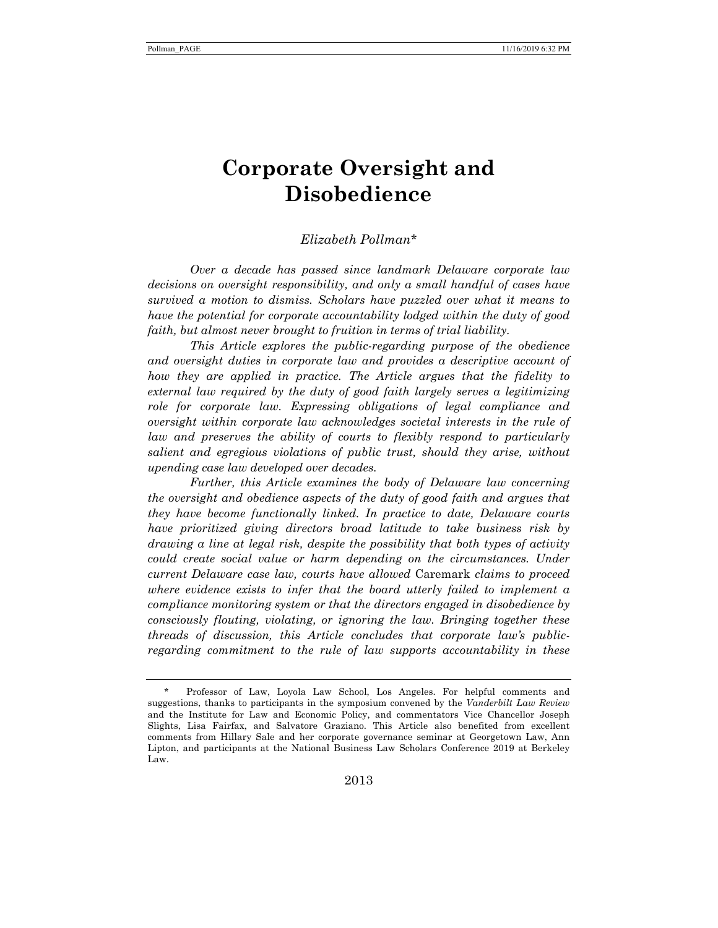# **Corporate Oversight and Disobedience**

*Elizabeth Pollman*\*

*Over a decade has passed since landmark Delaware corporate law decisions on oversight responsibility, and only a small handful of cases have survived a motion to dismiss. Scholars have puzzled over what it means to have the potential for corporate accountability lodged within the duty of good faith, but almost never brought to fruition in terms of trial liability.* 

*This Article explores the public-regarding purpose of the obedience and oversight duties in corporate law and provides a descriptive account of how they are applied in practice. The Article argues that the fidelity to external law required by the duty of good faith largely serves a legitimizing role for corporate law. Expressing obligations of legal compliance and oversight within corporate law acknowledges societal interests in the rule of* law and preserves the ability of courts to flexibly respond to particularly *salient and egregious violations of public trust, should they arise, without upending case law developed over decades.* 

*Further, this Article examines the body of Delaware law concerning the oversight and obedience aspects of the duty of good faith and argues that they have become functionally linked. In practice to date, Delaware courts have prioritized giving directors broad latitude to take business risk by drawing a line at legal risk, despite the possibility that both types of activity could create social value or harm depending on the circumstances. Under current Delaware case law, courts have allowed* Caremark *claims to proceed where evidence exists to infer that the board utterly failed to implement a compliance monitoring system or that the directors engaged in disobedience by consciously flouting, violating, or ignoring the law. Bringing together these threads of discussion, this Article concludes that corporate law's publicregarding commitment to the rule of law supports accountability in these* 

 <sup>\*</sup> Professor of Law, Loyola Law School, Los Angeles. For helpful comments and suggestions, thanks to participants in the symposium convened by the *Vanderbilt Law Review* and the Institute for Law and Economic Policy, and commentators Vice Chancellor Joseph Slights, Lisa Fairfax, and Salvatore Graziano. This Article also benefited from excellent comments from Hillary Sale and her corporate governance seminar at Georgetown Law, Ann Lipton, and participants at the National Business Law Scholars Conference 2019 at Berkeley Law.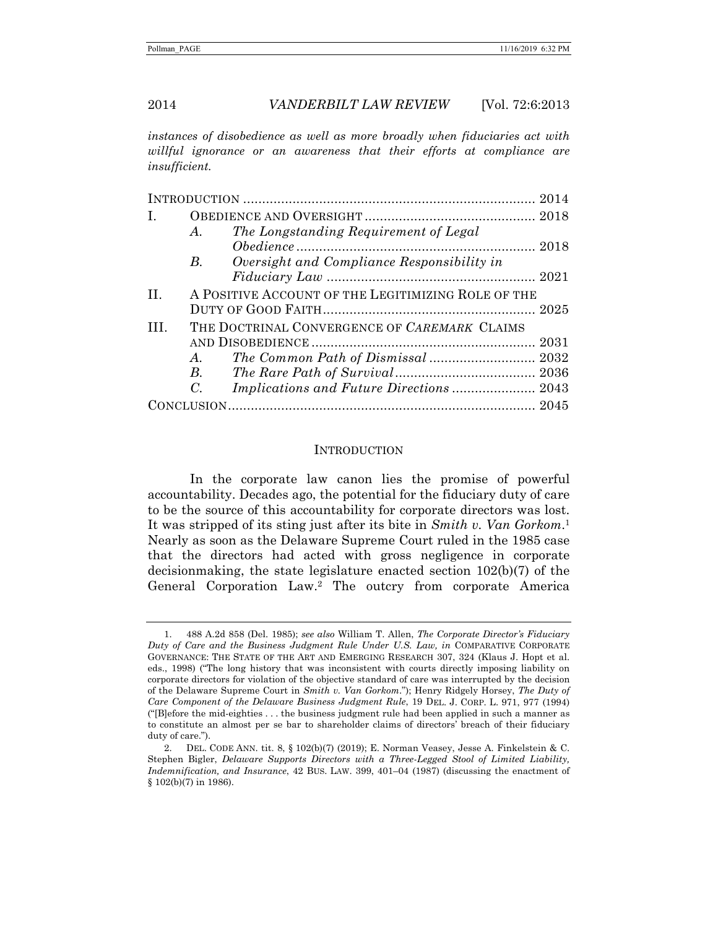*instances of disobedience as well as more broadly when fiduciaries act with willful ignorance or an awareness that their efforts at compliance are insufficient.* 

| I.      |                                                    |                                            |  |
|---------|----------------------------------------------------|--------------------------------------------|--|
|         | A.                                                 | The Longstanding Requirement of Legal      |  |
|         |                                                    |                                            |  |
|         | $B_{\cdot}$                                        | Oversight and Compliance Responsibility in |  |
|         |                                                    |                                            |  |
| $\Pi$ . | A POSITIVE ACCOUNT OF THE LEGITIMIZING ROLE OF THE |                                            |  |
|         |                                                    |                                            |  |
| Ш       | THE DOCTRINAL CONVERGENCE OF CAREMARK CLAIMS       |                                            |  |
|         |                                                    |                                            |  |
|         | A.                                                 |                                            |  |
|         | $B_{\cdot}$                                        |                                            |  |
|         | C.                                                 |                                            |  |
|         |                                                    |                                            |  |

#### **INTRODUCTION**

In the corporate law canon lies the promise of powerful accountability. Decades ago, the potential for the fiduciary duty of care to be the source of this accountability for corporate directors was lost. It was stripped of its sting just after its bite in *Smith v. Van Gorkom*.1 Nearly as soon as the Delaware Supreme Court ruled in the 1985 case that the directors had acted with gross negligence in corporate decisionmaking, the state legislature enacted section 102(b)(7) of the General Corporation Law.2 The outcry from corporate America

 <sup>1. 488</sup> A.2d 858 (Del. 1985); *see also* William T. Allen, *The Corporate Director's Fiduciary Duty of Care and the Business Judgment Rule Under U.S. Law, in* COMPARATIVE CORPORATE GOVERNANCE: THE STATE OF THE ART AND EMERGING RESEARCH 307, 324 (Klaus J. Hopt et al. eds., 1998) ("The long history that was inconsistent with courts directly imposing liability on corporate directors for violation of the objective standard of care was interrupted by the decision of the Delaware Supreme Court in *Smith v. Van Gorkom*."); Henry Ridgely Horsey, *The Duty of Care Component of the Delaware Business Judgment Rule*, 19 DEL. J. CORP. L. 971, 977 (1994) ("[B]efore the mid-eighties . . . the business judgment rule had been applied in such a manner as to constitute an almost per se bar to shareholder claims of directors' breach of their fiduciary duty of care.").

 <sup>2.</sup> DEL. CODE ANN. tit. 8, § 102(b)(7) (2019); E. Norman Veasey, Jesse A. Finkelstein & C. Stephen Bigler, *Delaware Supports Directors with a Three-Legged Stool of Limited Liability, Indemnification, and Insurance*, 42 BUS. LAW. 399, 401–04 (1987) (discussing the enactment of § 102(b)(7) in 1986).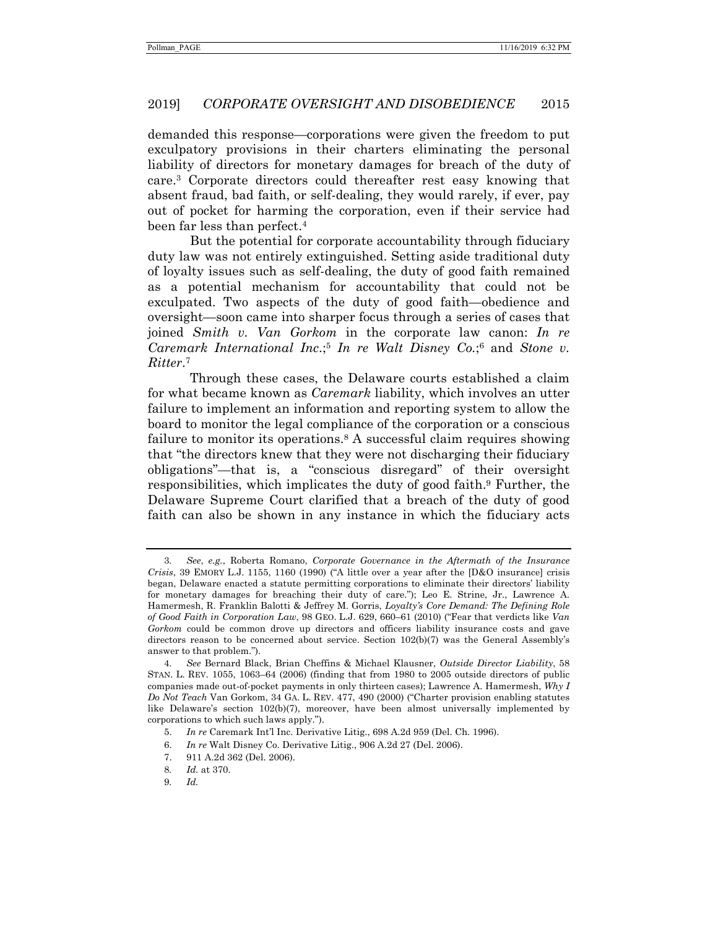demanded this response—corporations were given the freedom to put exculpatory provisions in their charters eliminating the personal liability of directors for monetary damages for breach of the duty of care.3 Corporate directors could thereafter rest easy knowing that absent fraud, bad faith, or self-dealing, they would rarely, if ever, pay out of pocket for harming the corporation, even if their service had been far less than perfect.4

But the potential for corporate accountability through fiduciary duty law was not entirely extinguished. Setting aside traditional duty of loyalty issues such as self-dealing, the duty of good faith remained as a potential mechanism for accountability that could not be exculpated. Two aspects of the duty of good faith—obedience and oversight—soon came into sharper focus through a series of cases that joined *Smith v. Van Gorkom* in the corporate law canon: *In re Caremark International Inc*.;5 *In re Walt Disney Co.*;6 and *Stone v. Ritter*.7

Through these cases, the Delaware courts established a claim for what became known as *Caremark* liability, which involves an utter failure to implement an information and reporting system to allow the board to monitor the legal compliance of the corporation or a conscious failure to monitor its operations.<sup>8</sup> A successful claim requires showing that "the directors knew that they were not discharging their fiduciary obligations"—that is, a "conscious disregard" of their oversight responsibilities, which implicates the duty of good faith.9 Further, the Delaware Supreme Court clarified that a breach of the duty of good faith can also be shown in any instance in which the fiduciary acts

<sup>3</sup>*. See*, *e.g.*, Roberta Romano, *Corporate Governance in the Aftermath of the Insurance Crisis*, 39 EMORY L.J. 1155, 1160 (1990) ("A little over a year after the [D&O insurance] crisis began, Delaware enacted a statute permitting corporations to eliminate their directors' liability for monetary damages for breaching their duty of care."); Leo E. Strine, Jr., Lawrence A. Hamermesh, R. Franklin Balotti & Jeffrey M. Gorris, *Loyalty's Core Demand: The Defining Role of Good Faith in Corporation Law*, 98 GEO. L.J. 629, 660–61 (2010) ("Fear that verdicts like *Van Gorkom* could be common drove up directors and officers liability insurance costs and gave directors reason to be concerned about service. Section  $102(b)(7)$  was the General Assembly's answer to that problem.").

<sup>4</sup>*. See* Bernard Black, Brian Cheffins & Michael Klausner, *Outside Director Liability*, 58 STAN. L. REV. 1055, 1063–64 (2006) (finding that from 1980 to 2005 outside directors of public companies made out-of-pocket payments in only thirteen cases); Lawrence A. Hamermesh, *Why I Do Not Teach* Van Gorkom, 34 GA. L. REV. 477, 490 (2000) ("Charter provision enabling statutes like Delaware's section 102(b)(7), moreover, have been almost universally implemented by corporations to which such laws apply.").

 <sup>5.</sup> *In re* Caremark Int'l Inc. Derivative Litig., 698 A.2d 959 (Del. Ch. 1996).

 <sup>6.</sup> *In re* Walt Disney Co. Derivative Litig., 906 A.2d 27 (Del. 2006).

 <sup>7. 911</sup> A.2d 362 (Del. 2006).

<sup>8</sup>*. Id.* at 370.

<sup>9</sup>*. Id.*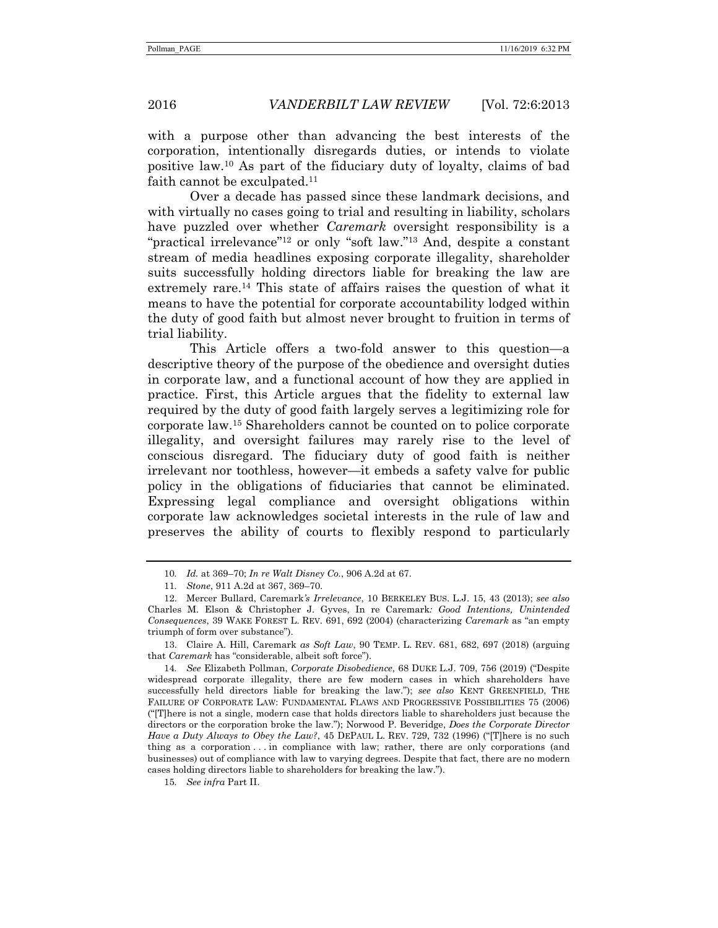with a purpose other than advancing the best interests of the corporation, intentionally disregards duties, or intends to violate positive law.10 As part of the fiduciary duty of loyalty, claims of bad faith cannot be exculpated.<sup>11</sup>

Over a decade has passed since these landmark decisions, and with virtually no cases going to trial and resulting in liability, scholars have puzzled over whether *Caremark* oversight responsibility is a "practical irrelevance"12 or only "soft law."13 And, despite a constant stream of media headlines exposing corporate illegality, shareholder suits successfully holding directors liable for breaking the law are extremely rare.14 This state of affairs raises the question of what it means to have the potential for corporate accountability lodged within the duty of good faith but almost never brought to fruition in terms of trial liability.

This Article offers a two-fold answer to this question—a descriptive theory of the purpose of the obedience and oversight duties in corporate law, and a functional account of how they are applied in practice. First, this Article argues that the fidelity to external law required by the duty of good faith largely serves a legitimizing role for corporate law.15 Shareholders cannot be counted on to police corporate illegality, and oversight failures may rarely rise to the level of conscious disregard. The fiduciary duty of good faith is neither irrelevant nor toothless, however—it embeds a safety valve for public policy in the obligations of fiduciaries that cannot be eliminated. Expressing legal compliance and oversight obligations within corporate law acknowledges societal interests in the rule of law and preserves the ability of courts to flexibly respond to particularly

<sup>10</sup>*. Id.* at 369–70; *In re Walt Disney Co.*, 906 A.2d at 67.

<sup>11</sup>*. Stone*, 911 A.2d at 367, 369–70.

 <sup>12.</sup> Mercer Bullard, Caremark*'s Irrelevance*, 10 BERKELEY BUS. L.J. 15, 43 (2013); *see also* Charles M. Elson & Christopher J. Gyves, In re Caremark*: Good Intentions, Unintended Consequences*, 39 WAKE FOREST L. REV. 691, 692 (2004) (characterizing *Caremark* as "an empty triumph of form over substance").

 <sup>13.</sup> Claire A. Hill, Caremark *as Soft Law*, 90 TEMP. L. REV. 681, 682, 697 (2018) (arguing that *Caremark* has "considerable, albeit soft force").

<sup>14</sup>*. See* Elizabeth Pollman, *Corporate Disobedience*, 68 DUKE L.J. 709, 756 (2019) ("Despite widespread corporate illegality, there are few modern cases in which shareholders have successfully held directors liable for breaking the law."); *see also* KENT GREENFIELD, THE FAILURE OF CORPORATE LAW: FUNDAMENTAL FLAWS AND PROGRESSIVE POSSIBILITIES 75 (2006) ("[T]here is not a single, modern case that holds directors liable to shareholders just because the directors or the corporation broke the law."); Norwood P. Beveridge, *Does the Corporate Director Have a Duty Always to Obey the Law?,* 45 DEPAUL L. REV. 729, 732 (1996) ("[T]here is no such thing as a corporation . . . in compliance with law; rather, there are only corporations (and businesses) out of compliance with law to varying degrees. Despite that fact, there are no modern cases holding directors liable to shareholders for breaking the law.").

<sup>15</sup>*. See infra* Part II.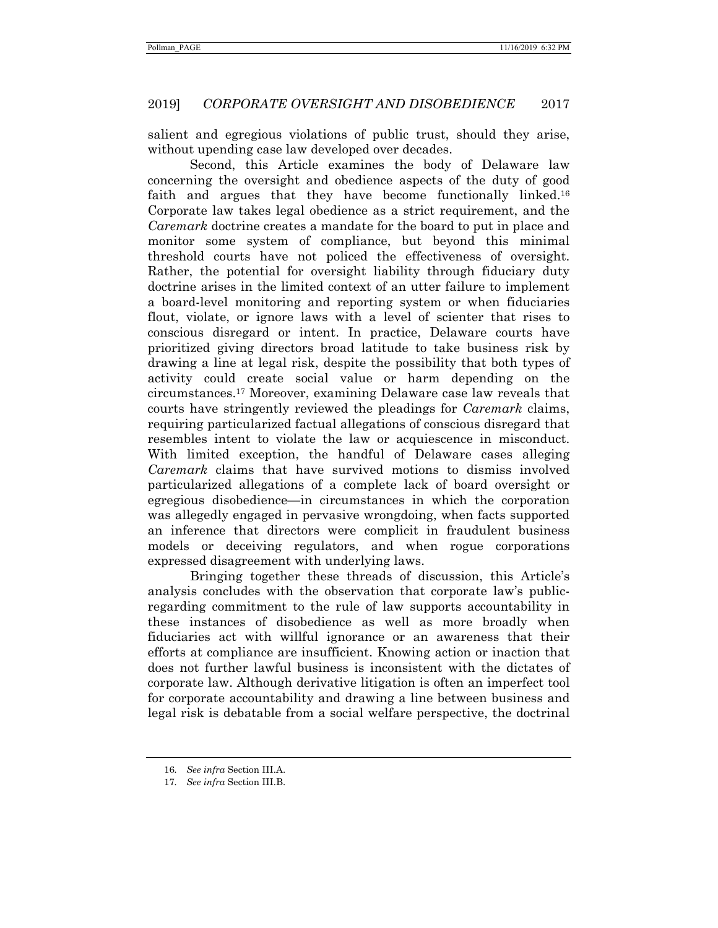salient and egregious violations of public trust, should they arise, without upending case law developed over decades.

Second, this Article examines the body of Delaware law concerning the oversight and obedience aspects of the duty of good faith and argues that they have become functionally linked.<sup>16</sup> Corporate law takes legal obedience as a strict requirement, and the *Caremark* doctrine creates a mandate for the board to put in place and monitor some system of compliance, but beyond this minimal threshold courts have not policed the effectiveness of oversight. Rather, the potential for oversight liability through fiduciary duty doctrine arises in the limited context of an utter failure to implement a board-level monitoring and reporting system or when fiduciaries flout, violate, or ignore laws with a level of scienter that rises to conscious disregard or intent. In practice, Delaware courts have prioritized giving directors broad latitude to take business risk by drawing a line at legal risk, despite the possibility that both types of activity could create social value or harm depending on the circumstances.17 Moreover, examining Delaware case law reveals that courts have stringently reviewed the pleadings for *Caremark* claims, requiring particularized factual allegations of conscious disregard that resembles intent to violate the law or acquiescence in misconduct. With limited exception, the handful of Delaware cases alleging *Caremark* claims that have survived motions to dismiss involved particularized allegations of a complete lack of board oversight or egregious disobedience—in circumstances in which the corporation was allegedly engaged in pervasive wrongdoing, when facts supported an inference that directors were complicit in fraudulent business models or deceiving regulators, and when rogue corporations expressed disagreement with underlying laws.

Bringing together these threads of discussion, this Article's analysis concludes with the observation that corporate law's publicregarding commitment to the rule of law supports accountability in these instances of disobedience as well as more broadly when fiduciaries act with willful ignorance or an awareness that their efforts at compliance are insufficient. Knowing action or inaction that does not further lawful business is inconsistent with the dictates of corporate law. Although derivative litigation is often an imperfect tool for corporate accountability and drawing a line between business and legal risk is debatable from a social welfare perspective, the doctrinal

<sup>16</sup>*. See infra* Section III.A.

<sup>17</sup>*. See infra* Section III.B.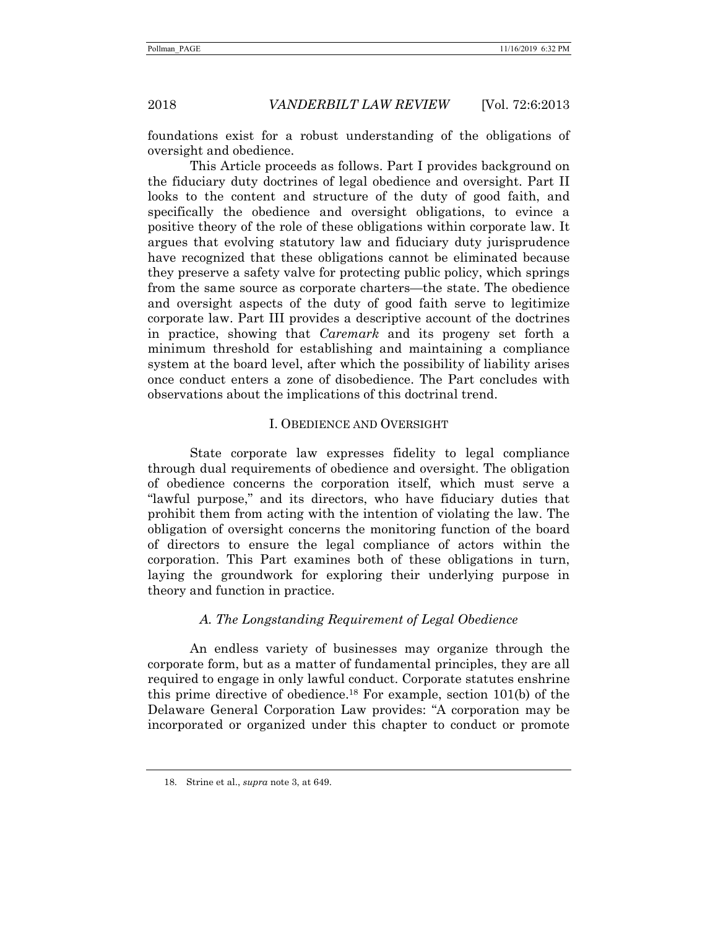foundations exist for a robust understanding of the obligations of oversight and obedience.

This Article proceeds as follows. Part I provides background on the fiduciary duty doctrines of legal obedience and oversight. Part II looks to the content and structure of the duty of good faith, and specifically the obedience and oversight obligations, to evince a positive theory of the role of these obligations within corporate law. It argues that evolving statutory law and fiduciary duty jurisprudence have recognized that these obligations cannot be eliminated because they preserve a safety valve for protecting public policy, which springs from the same source as corporate charters—the state. The obedience and oversight aspects of the duty of good faith serve to legitimize corporate law. Part III provides a descriptive account of the doctrines in practice, showing that *Caremark* and its progeny set forth a minimum threshold for establishing and maintaining a compliance system at the board level, after which the possibility of liability arises once conduct enters a zone of disobedience. The Part concludes with observations about the implications of this doctrinal trend.

#### I. OBEDIENCE AND OVERSIGHT

State corporate law expresses fidelity to legal compliance through dual requirements of obedience and oversight. The obligation of obedience concerns the corporation itself, which must serve a "lawful purpose," and its directors, who have fiduciary duties that prohibit them from acting with the intention of violating the law. The obligation of oversight concerns the monitoring function of the board of directors to ensure the legal compliance of actors within the corporation. This Part examines both of these obligations in turn, laying the groundwork for exploring their underlying purpose in theory and function in practice.

### *A. The Longstanding Requirement of Legal Obedience*

An endless variety of businesses may organize through the corporate form, but as a matter of fundamental principles, they are all required to engage in only lawful conduct. Corporate statutes enshrine this prime directive of obedience.18 For example, section 101(b) of the Delaware General Corporation Law provides: "A corporation may be incorporated or organized under this chapter to conduct or promote

 <sup>18.</sup> Strine et al., *supra* note 3, at 649.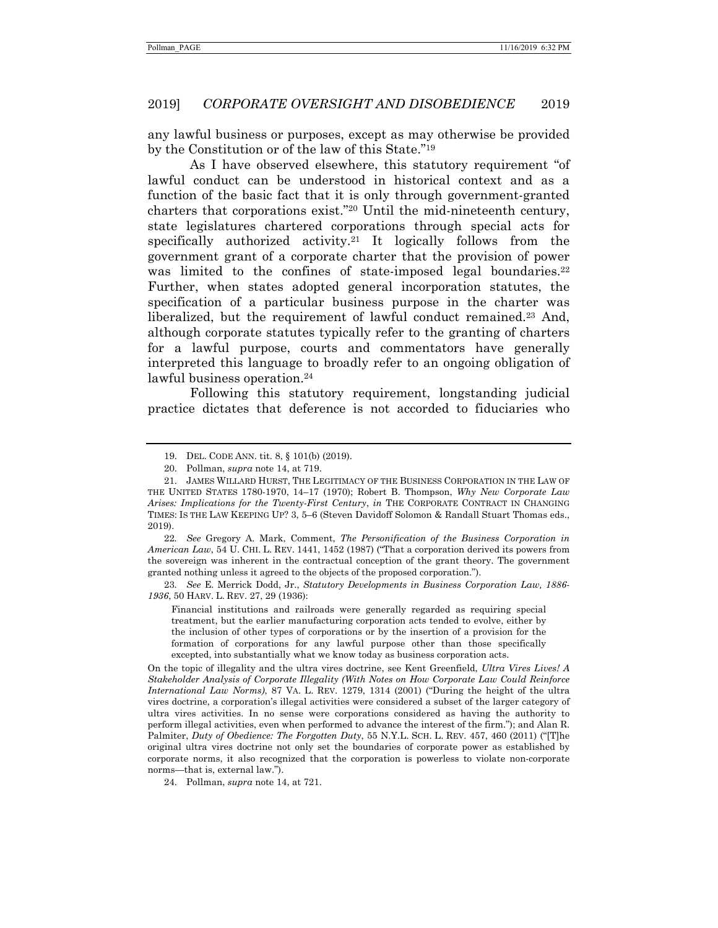any lawful business or purposes, except as may otherwise be provided by the Constitution or of the law of this State."19

As I have observed elsewhere, this statutory requirement "of lawful conduct can be understood in historical context and as a function of the basic fact that it is only through government-granted charters that corporations exist."20 Until the mid-nineteenth century, state legislatures chartered corporations through special acts for specifically authorized activity.<sup>21</sup> It logically follows from the government grant of a corporate charter that the provision of power was limited to the confines of state-imposed legal boundaries.<sup>22</sup> Further, when states adopted general incorporation statutes, the specification of a particular business purpose in the charter was liberalized, but the requirement of lawful conduct remained.23 And, although corporate statutes typically refer to the granting of charters for a lawful purpose, courts and commentators have generally interpreted this language to broadly refer to an ongoing obligation of lawful business operation.<sup>24</sup>

Following this statutory requirement, longstanding judicial practice dictates that deference is not accorded to fiduciaries who

22*. See* Gregory A. Mark, Comment, *The Personification of the Business Corporation in American Law*, 54 U. CHI. L. REV. 1441, 1452 (1987) ("That a corporation derived its powers from the sovereign was inherent in the contractual conception of the grant theory. The government granted nothing unless it agreed to the objects of the proposed corporation.").

23*. See* E. Merrick Dodd, Jr., *Statutory Developments in Business Corporation Law, 1886- 1936*, 50 HARV. L. REV. 27, 29 (1936):

Financial institutions and railroads were generally regarded as requiring special treatment, but the earlier manufacturing corporation acts tended to evolve, either by the inclusion of other types of corporations or by the insertion of a provision for the formation of corporations for any lawful purpose other than those specifically excepted, into substantially what we know today as business corporation acts.

On the topic of illegality and the ultra vires doctrine, see Kent Greenfield, *Ultra Vires Lives! A Stakeholder Analysis of Corporate Illegality (With Notes on How Corporate Law Could Reinforce International Law Norms)*, 87 VA. L. REV. 1279, 1314 (2001) ("During the height of the ultra vires doctrine, a corporation's illegal activities were considered a subset of the larger category of ultra vires activities. In no sense were corporations considered as having the authority to perform illegal activities, even when performed to advance the interest of the firm."); and Alan R. Palmiter, *Duty of Obedience: The Forgotten Duty*, 55 N.Y.L. SCH. L. REV. 457, 460 (2011) ("[T]he original ultra vires doctrine not only set the boundaries of corporate power as established by corporate norms, it also recognized that the corporation is powerless to violate non-corporate norms—that is, external law.").

24. Pollman, *supra* note 14, at 721.

 <sup>19.</sup> DEL. CODE ANN. tit. 8, § 101(b) (2019).

 <sup>20.</sup> Pollman, *supra* note 14, at 719.

 <sup>21.</sup> JAMES WILLARD HURST, THE LEGITIMACY OF THE BUSINESS CORPORATION IN THE LAW OF THE UNITED STATES 1780-1970, 14–17 (1970); Robert B. Thompson, *Why New Corporate Law Arises: Implications for the Twenty-First Century*, *in* THE CORPORATE CONTRACT IN CHANGING TIMES: IS THE LAW KEEPING UP? 3, 5–6 (Steven Davidoff Solomon & Randall Stuart Thomas eds., 2019).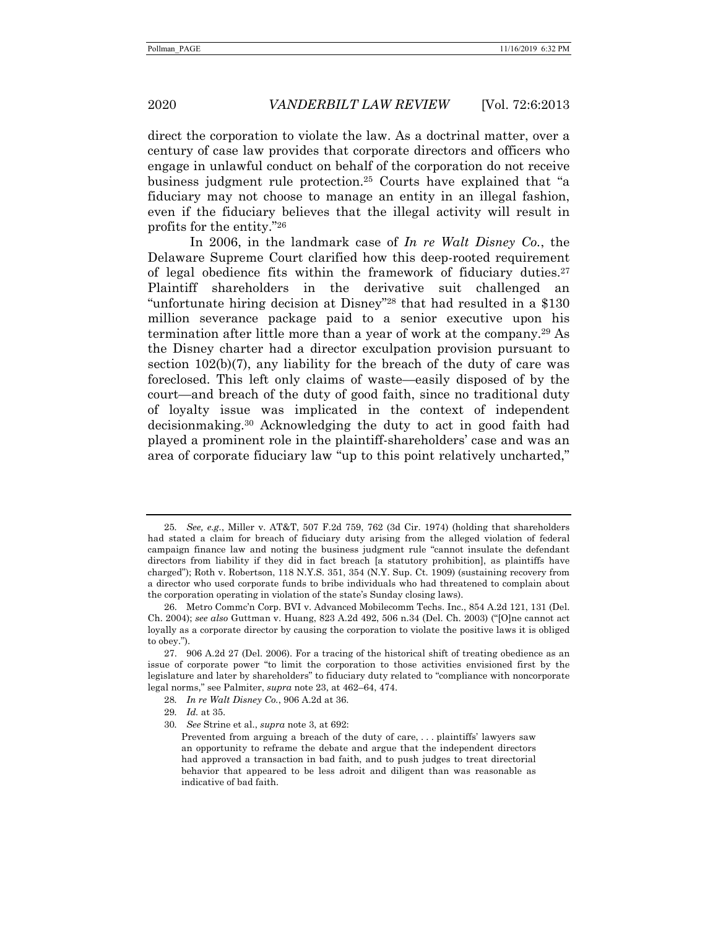direct the corporation to violate the law. As a doctrinal matter, over a century of case law provides that corporate directors and officers who engage in unlawful conduct on behalf of the corporation do not receive business judgment rule protection.25 Courts have explained that "a fiduciary may not choose to manage an entity in an illegal fashion, even if the fiduciary believes that the illegal activity will result in profits for the entity."26

In 2006, in the landmark case of *In re Walt Disney Co.*, the Delaware Supreme Court clarified how this deep-rooted requirement of legal obedience fits within the framework of fiduciary duties.27 Plaintiff shareholders in the derivative suit challenged an "unfortunate hiring decision at Disney"28 that had resulted in a \$130 million severance package paid to a senior executive upon his termination after little more than a year of work at the company.29 As the Disney charter had a director exculpation provision pursuant to section 102(b)(7), any liability for the breach of the duty of care was foreclosed. This left only claims of waste—easily disposed of by the court—and breach of the duty of good faith, since no traditional duty of loyalty issue was implicated in the context of independent decisionmaking.30 Acknowledging the duty to act in good faith had played a prominent role in the plaintiff-shareholders' case and was an area of corporate fiduciary law "up to this point relatively uncharted,"

<sup>25</sup>*. See, e.g.*, Miller v. AT&T, 507 F.2d 759, 762 (3d Cir. 1974) (holding that shareholders had stated a claim for breach of fiduciary duty arising from the alleged violation of federal campaign finance law and noting the business judgment rule "cannot insulate the defendant directors from liability if they did in fact breach [a statutory prohibition], as plaintiffs have charged"); Roth v. Robertson, 118 N.Y.S. 351, 354 (N.Y. Sup. Ct. 1909) (sustaining recovery from a director who used corporate funds to bribe individuals who had threatened to complain about the corporation operating in violation of the state's Sunday closing laws).

 <sup>26.</sup> Metro Commc'n Corp. BVI v. Advanced Mobilecomm Techs. Inc., 854 A.2d 121, 131 (Del. Ch. 2004); *see also* Guttman v. Huang, 823 A.2d 492, 506 n.34 (Del. Ch. 2003) ("[O]ne cannot act loyally as a corporate director by causing the corporation to violate the positive laws it is obliged to obey.").

 <sup>27. 906</sup> A.2d 27 (Del. 2006). For a tracing of the historical shift of treating obedience as an issue of corporate power "to limit the corporation to those activities envisioned first by the legislature and later by shareholders" to fiduciary duty related to "compliance with noncorporate legal norms," see Palmiter, *supra* note 23, at 462–64, 474.

<sup>28</sup>*. In re Walt Disney Co.*, 906 A.2d at 36.

<sup>29</sup>*. Id.* at 35.

<sup>30</sup>*. See* Strine et al., *supra* note 3, at 692:

Prevented from arguing a breach of the duty of care, . . . plaintiffs' lawyers saw an opportunity to reframe the debate and argue that the independent directors had approved a transaction in bad faith, and to push judges to treat directorial behavior that appeared to be less adroit and diligent than was reasonable as indicative of bad faith.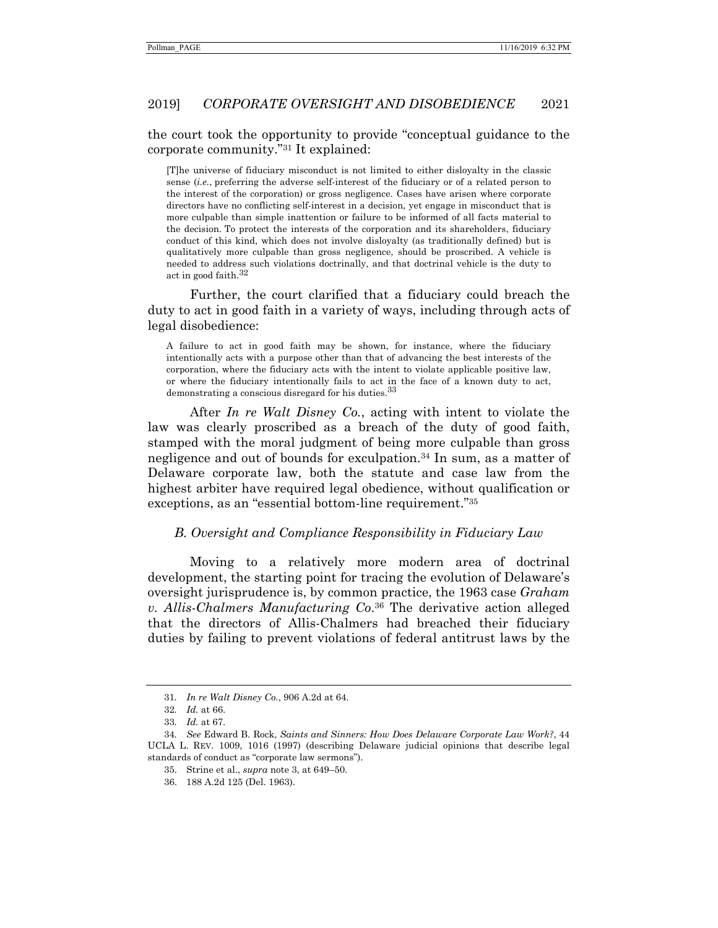# the court took the opportunity to provide "conceptual guidance to the corporate community."31 It explained:

[T]he universe of fiduciary misconduct is not limited to either disloyalty in the classic sense (*i.e.*, preferring the adverse self-interest of the fiduciary or of a related person to the interest of the corporation) or gross negligence. Cases have arisen where corporate directors have no conflicting self-interest in a decision, yet engage in misconduct that is more culpable than simple inattention or failure to be informed of all facts material to the decision. To protect the interests of the corporation and its shareholders, fiduciary conduct of this kind, which does not involve disloyalty (as traditionally defined) but is qualitatively more culpable than gross negligence, should be proscribed. A vehicle is needed to address such violations doctrinally, and that doctrinal vehicle is the duty to act in good faith.  $^{32}$ 

Further, the court clarified that a fiduciary could breach the duty to act in good faith in a variety of ways, including through acts of legal disobedience:

A failure to act in good faith may be shown, for instance, where the fiduciary intentionally acts with a purpose other than that of advancing the best interests of the corporation, where the fiduciary acts with the intent to violate applicable positive law, or where the fiduciary intentionally fails to act in the face of a known duty to act, demonstrating a conscious disregard for his duties.33

After *In re Walt Disney Co.*, acting with intent to violate the law was clearly proscribed as a breach of the duty of good faith, stamped with the moral judgment of being more culpable than gross negligence and out of bounds for exculpation.<sup>34</sup> In sum, as a matter of Delaware corporate law, both the statute and case law from the highest arbiter have required legal obedience, without qualification or exceptions, as an "essential bottom-line requirement."35

#### *B. Oversight and Compliance Responsibility in Fiduciary Law*

Moving to a relatively more modern area of doctrinal development, the starting point for tracing the evolution of Delaware's oversight jurisprudence is, by common practice, the 1963 case *Graham v. Allis-Chalmers Manufacturing Co*.36 The derivative action alleged that the directors of Allis-Chalmers had breached their fiduciary duties by failing to prevent violations of federal antitrust laws by the

<sup>31</sup>*. In re Walt Disney Co.*, 906 A.2d at 64.

<sup>32</sup>*. Id.* at 66.

<sup>33</sup>*. Id.* at 67.

<sup>34</sup>*. See* Edward B. Rock, *Saints and Sinners: How Does Delaware Corporate Law Work?*, 44 UCLA L. REV. 1009, 1016 (1997) (describing Delaware judicial opinions that describe legal standards of conduct as "corporate law sermons").

 <sup>35.</sup> Strine et al., *supra* note 3, at 649–50.

 <sup>36. 188</sup> A.2d 125 (Del. 1963).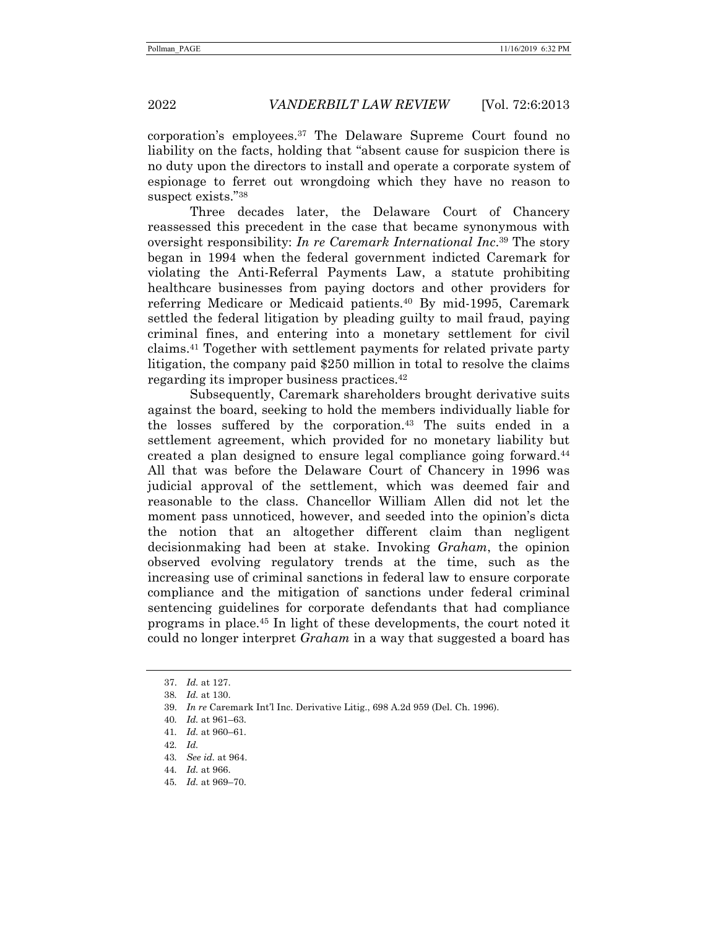corporation's employees.37 The Delaware Supreme Court found no liability on the facts, holding that "absent cause for suspicion there is no duty upon the directors to install and operate a corporate system of espionage to ferret out wrongdoing which they have no reason to suspect exists."38

Three decades later, the Delaware Court of Chancery reassessed this precedent in the case that became synonymous with oversight responsibility: *In re Caremark International Inc*.39 The story began in 1994 when the federal government indicted Caremark for violating the Anti-Referral Payments Law, a statute prohibiting healthcare businesses from paying doctors and other providers for referring Medicare or Medicaid patients.<sup>40</sup> By mid-1995, Caremark settled the federal litigation by pleading guilty to mail fraud, paying criminal fines, and entering into a monetary settlement for civil claims.41 Together with settlement payments for related private party litigation, the company paid \$250 million in total to resolve the claims regarding its improper business practices.42

Subsequently, Caremark shareholders brought derivative suits against the board, seeking to hold the members individually liable for the losses suffered by the corporation.<sup>43</sup> The suits ended in a settlement agreement, which provided for no monetary liability but created a plan designed to ensure legal compliance going forward.44 All that was before the Delaware Court of Chancery in 1996 was judicial approval of the settlement, which was deemed fair and reasonable to the class. Chancellor William Allen did not let the moment pass unnoticed, however, and seeded into the opinion's dicta the notion that an altogether different claim than negligent decisionmaking had been at stake. Invoking *Graham*, the opinion observed evolving regulatory trends at the time, such as the increasing use of criminal sanctions in federal law to ensure corporate compliance and the mitigation of sanctions under federal criminal sentencing guidelines for corporate defendants that had compliance programs in place.45 In light of these developments, the court noted it could no longer interpret *Graham* in a way that suggested a board has

<sup>37.</sup> *Id.* at 127.

<sup>38</sup>*. Id.* at 130.

 <sup>39.</sup> *In re* Caremark Int'l Inc. Derivative Litig., 698 A.2d 959 (Del. Ch. 1996).

<sup>40</sup>*. Id.* at 961–63.

<sup>41</sup>*. Id.* at 960–61.

<sup>42</sup>*. Id.*

<sup>43</sup>*. See id.* at 964.

<sup>44</sup>*. Id.* at 966.

<sup>45</sup>*. Id.* at 969–70.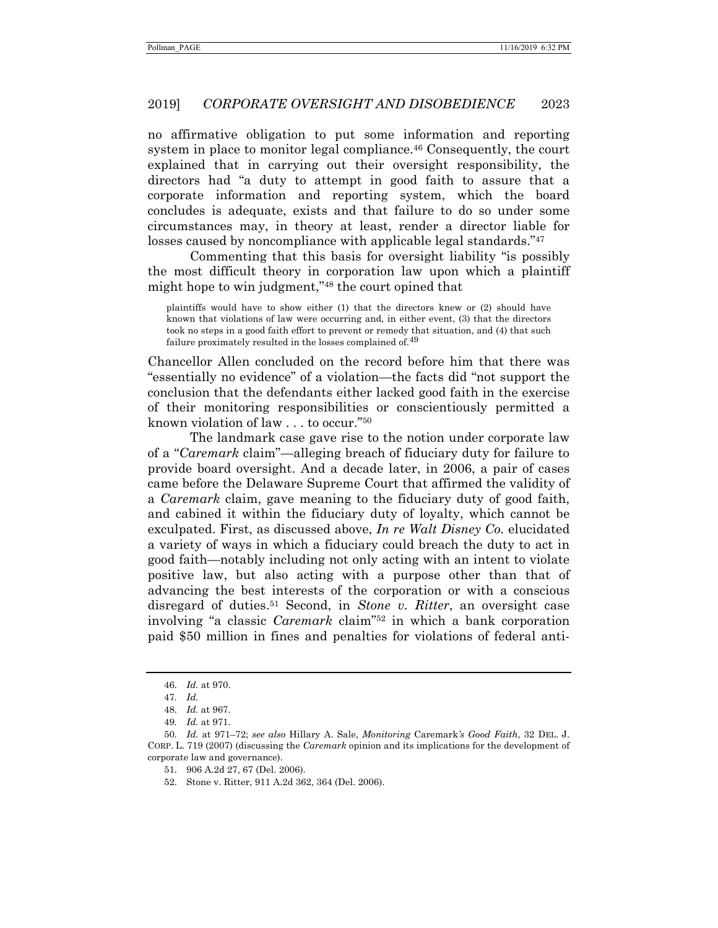no affirmative obligation to put some information and reporting system in place to monitor legal compliance.<sup>46</sup> Consequently, the court explained that in carrying out their oversight responsibility, the directors had "a duty to attempt in good faith to assure that a corporate information and reporting system, which the board concludes is adequate, exists and that failure to do so under some circumstances may, in theory at least, render a director liable for losses caused by noncompliance with applicable legal standards."<sup>47</sup>

Commenting that this basis for oversight liability "is possibly the most difficult theory in corporation law upon which a plaintiff might hope to win judgment,"48 the court opined that

plaintiffs would have to show either (1) that the directors knew or (2) should have known that violations of law were occurring and, in either event, (3) that the directors took no steps in a good faith effort to prevent or remedy that situation, and (4) that such failure proximately resulted in the losses complained of.<sup>49</sup>

Chancellor Allen concluded on the record before him that there was "essentially no evidence" of a violation—the facts did "not support the conclusion that the defendants either lacked good faith in the exercise of their monitoring responsibilities or conscientiously permitted a known violation of law . . . to occur."50

The landmark case gave rise to the notion under corporate law of a "*Caremark* claim"—alleging breach of fiduciary duty for failure to provide board oversight. And a decade later, in 2006, a pair of cases came before the Delaware Supreme Court that affirmed the validity of a *Caremark* claim, gave meaning to the fiduciary duty of good faith, and cabined it within the fiduciary duty of loyalty, which cannot be exculpated. First, as discussed above, *In re Walt Disney Co.* elucidated a variety of ways in which a fiduciary could breach the duty to act in good faith—notably including not only acting with an intent to violate positive law, but also acting with a purpose other than that of advancing the best interests of the corporation or with a conscious disregard of duties.<sup>51</sup> Second, in *Stone v. Ritter*, an oversight case involving "a classic *Caremark* claim"52 in which a bank corporation paid \$50 million in fines and penalties for violations of federal anti-

<sup>46.</sup> *Id.* at 970.

<sup>47</sup>*. Id.*

 <sup>48.</sup> *Id.* at 967.

<sup>49</sup>*. Id.* at 971.

<sup>50</sup>*. Id.* at 971–72; *see also* Hillary A. Sale, *Monitoring* Caremark*'s Good Faith*, 32 DEL. J. CORP. L. 719 (2007) (discussing the *Caremark* opinion and its implications for the development of corporate law and governance).

 <sup>51. 906</sup> A.2d 27, 67 (Del. 2006).

 <sup>52.</sup> Stone v. Ritter, 911 A.2d 362, 364 (Del. 2006).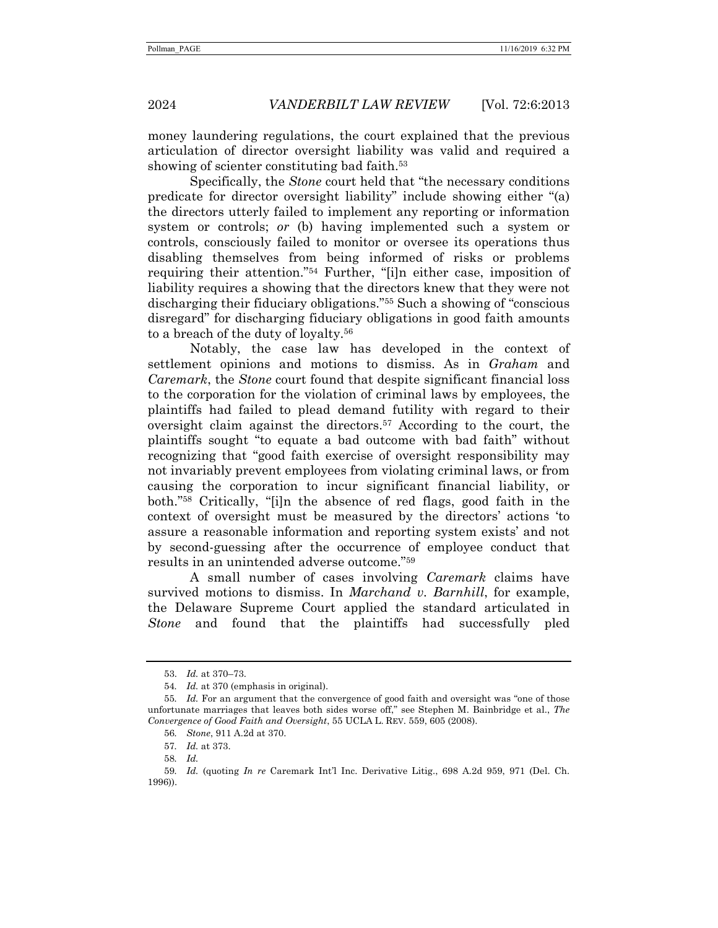money laundering regulations, the court explained that the previous articulation of director oversight liability was valid and required a showing of scienter constituting bad faith.<sup>53</sup>

Specifically, the *Stone* court held that "the necessary conditions predicate for director oversight liability" include showing either "(a) the directors utterly failed to implement any reporting or information system or controls; *or* (b) having implemented such a system or controls, consciously failed to monitor or oversee its operations thus disabling themselves from being informed of risks or problems requiring their attention."54 Further, "[i]n either case, imposition of liability requires a showing that the directors knew that they were not discharging their fiduciary obligations."55 Such a showing of "conscious disregard" for discharging fiduciary obligations in good faith amounts to a breach of the duty of loyalty.56

Notably, the case law has developed in the context of settlement opinions and motions to dismiss. As in *Graham* and *Caremark*, the *Stone* court found that despite significant financial loss to the corporation for the violation of criminal laws by employees, the plaintiffs had failed to plead demand futility with regard to their oversight claim against the directors.57 According to the court, the plaintiffs sought "to equate a bad outcome with bad faith" without recognizing that "good faith exercise of oversight responsibility may not invariably prevent employees from violating criminal laws, or from causing the corporation to incur significant financial liability, or both."58 Critically, "[i]n the absence of red flags, good faith in the context of oversight must be measured by the directors' actions 'to assure a reasonable information and reporting system exists' and not by second-guessing after the occurrence of employee conduct that results in an unintended adverse outcome."59

A small number of cases involving *Caremark* claims have survived motions to dismiss. In *Marchand v. Barnhill*, for example, the Delaware Supreme Court applied the standard articulated in *Stone* and found that the plaintiffs had successfully pled

<sup>53.</sup> *Id.* at 370–73.

<sup>54</sup>*. Id.* at 370 (emphasis in original).

<sup>55</sup>*. Id.* For an argument that the convergence of good faith and oversight was "one of those unfortunate marriages that leaves both sides worse off," see Stephen M. Bainbridge et al., *The Convergence of Good Faith and Oversight*, 55 UCLA L. REV. 559, 605 (2008).

<sup>56</sup>*. Stone*, 911 A.2d at 370.

<sup>57</sup>*. Id.* at 373.

<sup>58</sup>*. Id.*

<sup>59</sup>*. Id.* (quoting *In re* Caremark Int'l Inc. Derivative Litig., 698 A.2d 959, 971 (Del. Ch. 1996)).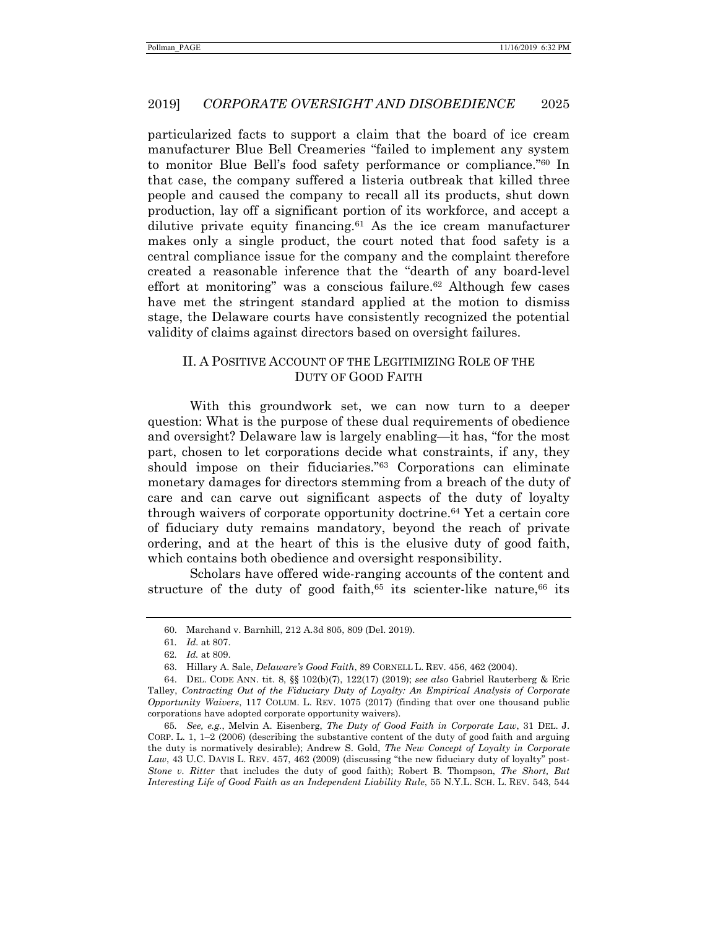particularized facts to support a claim that the board of ice cream manufacturer Blue Bell Creameries "failed to implement any system to monitor Blue Bell's food safety performance or compliance."60 In that case, the company suffered a listeria outbreak that killed three people and caused the company to recall all its products, shut down production, lay off a significant portion of its workforce, and accept a dilutive private equity financing.<sup>61</sup> As the ice cream manufacturer makes only a single product, the court noted that food safety is a central compliance issue for the company and the complaint therefore created a reasonable inference that the "dearth of any board-level effort at monitoring" was a conscious failure.<sup>62</sup> Although few cases have met the stringent standard applied at the motion to dismiss stage, the Delaware courts have consistently recognized the potential validity of claims against directors based on oversight failures.

# II. A POSITIVE ACCOUNT OF THE LEGITIMIZING ROLE OF THE DUTY OF GOOD FAITH

With this groundwork set, we can now turn to a deeper question: What is the purpose of these dual requirements of obedience and oversight? Delaware law is largely enabling—it has, "for the most part, chosen to let corporations decide what constraints, if any, they should impose on their fiduciaries."63 Corporations can eliminate monetary damages for directors stemming from a breach of the duty of care and can carve out significant aspects of the duty of loyalty through waivers of corporate opportunity doctrine.64 Yet a certain core of fiduciary duty remains mandatory, beyond the reach of private ordering, and at the heart of this is the elusive duty of good faith, which contains both obedience and oversight responsibility.

Scholars have offered wide-ranging accounts of the content and structure of the duty of good faith,<sup>65</sup> its scienter-like nature,<sup>66</sup> its

 <sup>60.</sup> Marchand v. Barnhill, 212 A.3d 805, 809 (Del. 2019).

<sup>61</sup>*. Id.* at 807.

<sup>62</sup>*. Id.* at 809.

 <sup>63.</sup> Hillary A. Sale, *Delaware's Good Faith*, 89 CORNELL L. REV. 456, 462 (2004).

 <sup>64.</sup> DEL. CODE ANN. tit. 8, §§ 102(b)(7), 122(17) (2019); *see also* Gabriel Rauterberg & Eric Talley, *Contracting Out of the Fiduciary Duty of Loyalty: An Empirical Analysis of Corporate Opportunity Waivers*, 117 COLUM. L. REV. 1075 (2017) (finding that over one thousand public corporations have adopted corporate opportunity waivers).

<sup>65</sup>*. See, e.g.*, Melvin A. Eisenberg, *The Duty of Good Faith in Corporate Law*, 31 DEL. J. CORP. L. 1, 1–2 (2006) (describing the substantive content of the duty of good faith and arguing the duty is normatively desirable); Andrew S. Gold, *The New Concept of Loyalty in Corporate Law*, 43 U.C. DAVIS L. REV. 457, 462 (2009) (discussing "the new fiduciary duty of loyalty" post-*Stone v. Ritter* that includes the duty of good faith); Robert B. Thompson, *The Short, But Interesting Life of Good Faith as an Independent Liability Rule*, 55 N.Y.L. SCH. L. REV. 543, 544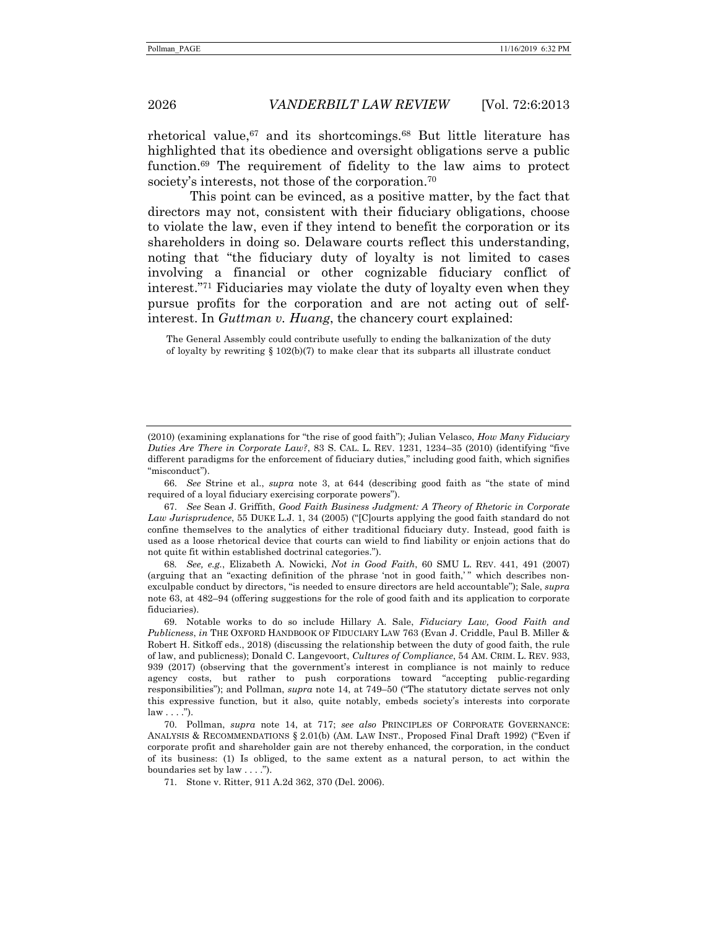rhetorical value,67 and its shortcomings.68 But little literature has highlighted that its obedience and oversight obligations serve a public function.69 The requirement of fidelity to the law aims to protect society's interests, not those of the corporation.<sup>70</sup>

This point can be evinced, as a positive matter, by the fact that directors may not, consistent with their fiduciary obligations, choose to violate the law, even if they intend to benefit the corporation or its shareholders in doing so. Delaware courts reflect this understanding, noting that "the fiduciary duty of loyalty is not limited to cases involving a financial or other cognizable fiduciary conflict of interest."71 Fiduciaries may violate the duty of loyalty even when they pursue profits for the corporation and are not acting out of selfinterest. In *Guttman v. Huang*, the chancery court explained:

The General Assembly could contribute usefully to ending the balkanization of the duty of loyalty by rewriting  $\S 102(b)(7)$  to make clear that its subparts all illustrate conduct

 66. *See* Strine et al., *supra* note 3, at 644 (describing good faith as "the state of mind required of a loyal fiduciary exercising corporate powers").

68*. See, e.g.*, Elizabeth A. Nowicki, *Not in Good Faith*, 60 SMU L. REV. 441, 491 (2007) (arguing that an "exacting definition of the phrase 'not in good faith,'" which describes nonexculpable conduct by directors, "is needed to ensure directors are held accountable"); Sale, *supra* note 63, at 482–94 (offering suggestions for the role of good faith and its application to corporate fiduciaries).

 69. Notable works to do so include Hillary A. Sale, *Fiduciary Law, Good Faith and Publicness*, *in* THE OXFORD HANDBOOK OF FIDUCIARY LAW 763 (Evan J. Criddle, Paul B. Miller & Robert H. Sitkoff eds., 2018) (discussing the relationship between the duty of good faith, the rule of law, and publicness); Donald C. Langevoort, *Cultures of Compliance*, 54 AM. CRIM. L. REV. 933, 939 (2017) (observing that the government's interest in compliance is not mainly to reduce agency costs, but rather to push corporations toward "accepting public-regarding responsibilities"); and Pollman, *supra* note 14, at 749–50 ("The statutory dictate serves not only this expressive function, but it also, quite notably, embeds society's interests into corporate  $law \ldots$ .").

 70. Pollman, *supra* note 14, at 717; *see also* PRINCIPLES OF CORPORATE GOVERNANCE: ANALYSIS & RECOMMENDATIONS § 2.01(b) (AM. LAW INST., Proposed Final Draft 1992) ("Even if corporate profit and shareholder gain are not thereby enhanced, the corporation, in the conduct of its business: (1) Is obliged, to the same extent as a natural person, to act within the boundaries set by law . . . .").

71. Stone v. Ritter, 911 A.2d 362, 370 (Del. 2006).

<sup>(2010) (</sup>examining explanations for "the rise of good faith"); Julian Velasco, *How Many Fiduciary Duties Are There in Corporate Law?*, 83 S. CAL. L. REV. 1231, 1234–35 (2010) (identifying "five different paradigms for the enforcement of fiduciary duties," including good faith, which signifies "misconduct").

 <sup>67.</sup> *See* Sean J. Griffith, *Good Faith Business Judgment: A Theory of Rhetoric in Corporate Law Jurisprudence*, 55 DUKE L.J. 1, 34 (2005) ("[C]ourts applying the good faith standard do not confine themselves to the analytics of either traditional fiduciary duty. Instead, good faith is used as a loose rhetorical device that courts can wield to find liability or enjoin actions that do not quite fit within established doctrinal categories.").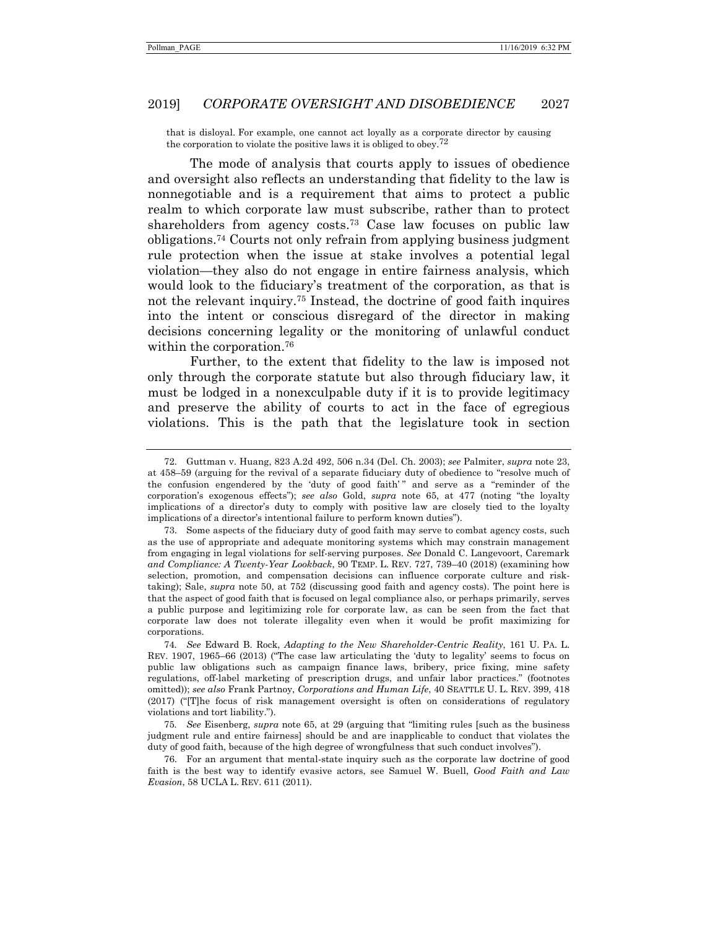that is disloyal. For example, one cannot act loyally as a corporate director by causing the corporation to violate the positive laws it is obliged to obey.<sup>72</sup>

The mode of analysis that courts apply to issues of obedience and oversight also reflects an understanding that fidelity to the law is nonnegotiable and is a requirement that aims to protect a public realm to which corporate law must subscribe, rather than to protect shareholders from agency costs.73 Case law focuses on public law obligations.74 Courts not only refrain from applying business judgment rule protection when the issue at stake involves a potential legal violation—they also do not engage in entire fairness analysis, which would look to the fiduciary's treatment of the corporation, as that is not the relevant inquiry.75 Instead, the doctrine of good faith inquires into the intent or conscious disregard of the director in making decisions concerning legality or the monitoring of unlawful conduct within the corporation.<sup>76</sup>

Further, to the extent that fidelity to the law is imposed not only through the corporate statute but also through fiduciary law, it must be lodged in a nonexculpable duty if it is to provide legitimacy and preserve the ability of courts to act in the face of egregious violations. This is the path that the legislature took in section

 <sup>72.</sup> Guttman v. Huang, 823 A.2d 492, 506 n.34 (Del. Ch. 2003); *see* Palmiter, *supra* note 23, at 458–59 (arguing for the revival of a separate fiduciary duty of obedience to "resolve much of the confusion engendered by the 'duty of good faith' " and serve as a "reminder of the corporation's exogenous effects"); *see also* Gold, *supra* note 65, at 477 (noting "the loyalty implications of a director's duty to comply with positive law are closely tied to the loyalty implications of a director's intentional failure to perform known duties").

 <sup>73.</sup> Some aspects of the fiduciary duty of good faith may serve to combat agency costs, such as the use of appropriate and adequate monitoring systems which may constrain management from engaging in legal violations for self-serving purposes. *See* Donald C. Langevoort, Caremark *and Compliance: A Twenty-Year Lookback*, 90 TEMP. L. REV. 727, 739–40 (2018) (examining how selection, promotion, and compensation decisions can influence corporate culture and risktaking); Sale, *supra* note 50, at 752 (discussing good faith and agency costs). The point here is that the aspect of good faith that is focused on legal compliance also, or perhaps primarily, serves a public purpose and legitimizing role for corporate law, as can be seen from the fact that corporate law does not tolerate illegality even when it would be profit maximizing for corporations.

<sup>74</sup>*. See* Edward B. Rock, *Adapting to the New Shareholder-Centric Reality*, 161 U. PA. L. REV. 1907, 1965–66 (2013) ("The case law articulating the 'duty to legality' seems to focus on public law obligations such as campaign finance laws, bribery, price fixing, mine safety regulations, off-label marketing of prescription drugs, and unfair labor practices." (footnotes omitted)); *see also* Frank Partnoy, *Corporations and Human Life*, 40 SEATTLE U. L. REV. 399, 418 (2017) ("[T]he focus of risk management oversight is often on considerations of regulatory violations and tort liability.").

<sup>75</sup>*. See* Eisenberg, *supra* note 65, at 29 (arguing that "limiting rules [such as the business judgment rule and entire fairness] should be and are inapplicable to conduct that violates the duty of good faith, because of the high degree of wrongfulness that such conduct involves").

 <sup>76.</sup> For an argument that mental-state inquiry such as the corporate law doctrine of good faith is the best way to identify evasive actors, see Samuel W. Buell, *Good Faith and Law Evasion*, 58 UCLA L. REV. 611 (2011).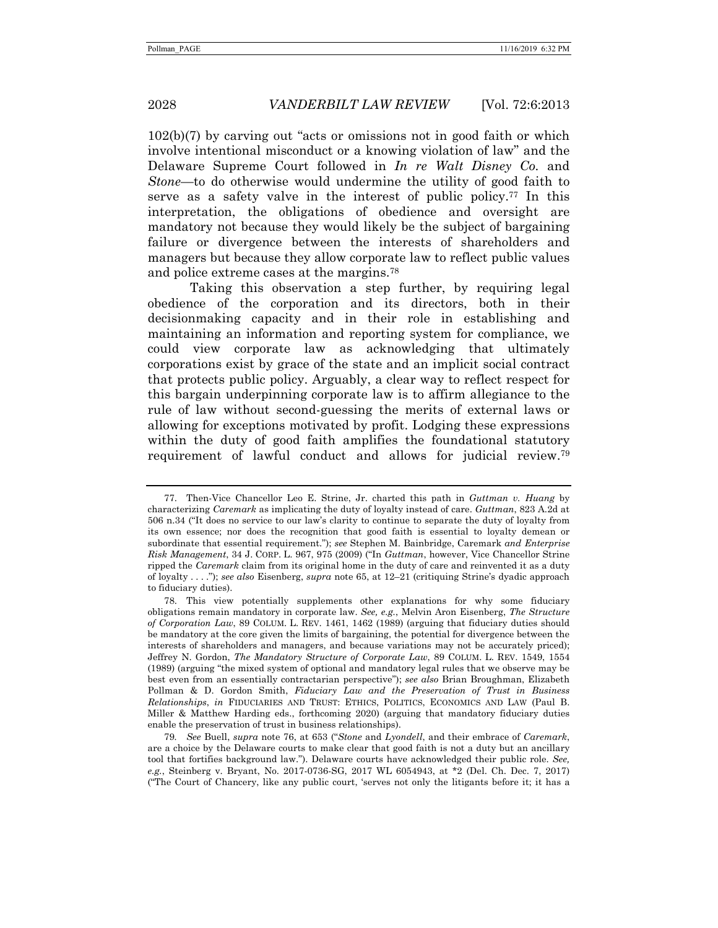102(b)(7) by carving out "acts or omissions not in good faith or which involve intentional misconduct or a knowing violation of law" and the Delaware Supreme Court followed in *In re Walt Disney Co.* and *Stone*—to do otherwise would undermine the utility of good faith to serve as a safety valve in the interest of public policy.77 In this interpretation, the obligations of obedience and oversight are mandatory not because they would likely be the subject of bargaining failure or divergence between the interests of shareholders and managers but because they allow corporate law to reflect public values and police extreme cases at the margins.78

Taking this observation a step further, by requiring legal obedience of the corporation and its directors, both in their decisionmaking capacity and in their role in establishing and maintaining an information and reporting system for compliance, we could view corporate law as acknowledging that ultimately corporations exist by grace of the state and an implicit social contract that protects public policy. Arguably, a clear way to reflect respect for this bargain underpinning corporate law is to affirm allegiance to the rule of law without second-guessing the merits of external laws or allowing for exceptions motivated by profit. Lodging these expressions within the duty of good faith amplifies the foundational statutory requirement of lawful conduct and allows for judicial review.79

 <sup>77.</sup> Then-Vice Chancellor Leo E. Strine, Jr. charted this path in *Guttman v. Huang* by characterizing *Caremark* as implicating the duty of loyalty instead of care. *Guttman*, 823 A.2d at 506 n.34 ("It does no service to our law's clarity to continue to separate the duty of loyalty from its own essence; nor does the recognition that good faith is essential to loyalty demean or subordinate that essential requirement."); *see* Stephen M. Bainbridge, Caremark *and Enterprise Risk Management*, 34 J. CORP. L. 967, 975 (2009) ("In *Guttman*, however, Vice Chancellor Strine ripped the *Caremark* claim from its original home in the duty of care and reinvented it as a duty of loyalty . . . ."); *see also* Eisenberg, *supra* note 65, at 12–21 (critiquing Strine's dyadic approach to fiduciary duties).

 <sup>78.</sup> This view potentially supplements other explanations for why some fiduciary obligations remain mandatory in corporate law. *See, e.g.*, Melvin Aron Eisenberg, *The Structure of Corporation Law*, 89 COLUM. L. REV. 1461, 1462 (1989) (arguing that fiduciary duties should be mandatory at the core given the limits of bargaining, the potential for divergence between the interests of shareholders and managers, and because variations may not be accurately priced); Jeffrey N. Gordon, *The Mandatory Structure of Corporate Law*, 89 COLUM. L. REV. 1549, 1554 (1989) (arguing "the mixed system of optional and mandatory legal rules that we observe may be best even from an essentially contractarian perspective"); *see also* Brian Broughman, Elizabeth Pollman & D. Gordon Smith, *Fiduciary Law and the Preservation of Trust in Business Relationships*, *in* FIDUCIARIES AND TRUST: ETHICS, POLITICS, ECONOMICS AND LAW (Paul B. Miller & Matthew Harding eds., forthcoming 2020) (arguing that mandatory fiduciary duties enable the preservation of trust in business relationships).

<sup>79</sup>*. See* Buell, *supra* note 76, at 653 ("*Stone* and *Lyondell*, and their embrace of *Caremark*, are a choice by the Delaware courts to make clear that good faith is not a duty but an ancillary tool that fortifies background law."). Delaware courts have acknowledged their public role. *See, e.g.*, Steinberg v. Bryant, No. 2017-0736-SG, 2017 WL 6054943, at \*2 (Del. Ch. Dec. 7, 2017) ("The Court of Chancery, like any public court, 'serves not only the litigants before it; it has a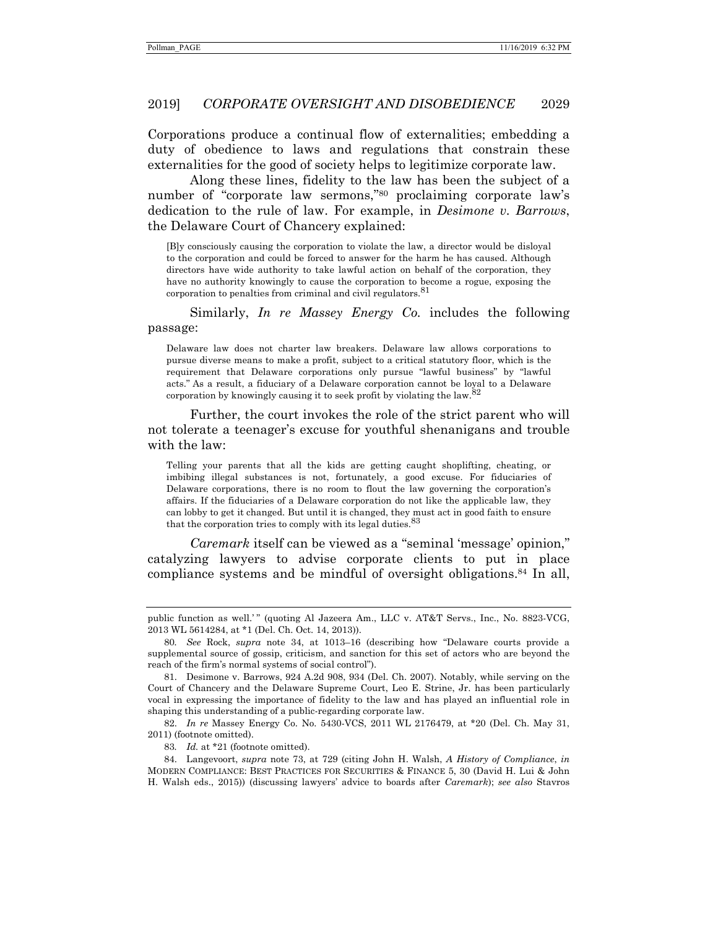Corporations produce a continual flow of externalities; embedding a duty of obedience to laws and regulations that constrain these externalities for the good of society helps to legitimize corporate law.

Along these lines, fidelity to the law has been the subject of a number of "corporate law sermons,"<sup>80</sup> proclaiming corporate law's dedication to the rule of law. For example, in *Desimone v. Barrows*, the Delaware Court of Chancery explained:

[B]y consciously causing the corporation to violate the law, a director would be disloyal to the corporation and could be forced to answer for the harm he has caused. Although directors have wide authority to take lawful action on behalf of the corporation, they have no authority knowingly to cause the corporation to become a rogue, exposing the corporation to penalties from criminal and civil regulators.<sup>81</sup>

Similarly, *In re Massey Energy Co.* includes the following passage:

Delaware law does not charter law breakers. Delaware law allows corporations to pursue diverse means to make a profit, subject to a critical statutory floor, which is the requirement that Delaware corporations only pursue "lawful business" by "lawful acts." As a result, a fiduciary of a Delaware corporation cannot be loyal to a Delaware corporation by knowingly causing it to seek profit by violating the law.<sup>82</sup>

Further, the court invokes the role of the strict parent who will not tolerate a teenager's excuse for youthful shenanigans and trouble with the law:

Telling your parents that all the kids are getting caught shoplifting, cheating, or imbibing illegal substances is not, fortunately, a good excuse. For fiduciaries of Delaware corporations, there is no room to flout the law governing the corporation's affairs. If the fiduciaries of a Delaware corporation do not like the applicable law, they can lobby to get it changed. But until it is changed, they must act in good faith to ensure that the corporation tries to comply with its legal duties.<sup>83</sup>

*Caremark* itself can be viewed as a "seminal 'message' opinion," catalyzing lawyers to advise corporate clients to put in place compliance systems and be mindful of oversight obligations.84 In all,

public function as well.'" (quoting Al Jazeera Am., LLC v. AT&T Servs., Inc., No. 8823-VCG, 2013 WL 5614284, at \*1 (Del. Ch. Oct. 14, 2013)).

<sup>80</sup>*. See* Rock, *supra* note 34, at 1013–16 (describing how "Delaware courts provide a supplemental source of gossip, criticism, and sanction for this set of actors who are beyond the reach of the firm's normal systems of social control").

 <sup>81.</sup> Desimone v. Barrows, 924 A.2d 908, 934 (Del. Ch. 2007). Notably, while serving on the Court of Chancery and the Delaware Supreme Court, Leo E. Strine, Jr. has been particularly vocal in expressing the importance of fidelity to the law and has played an influential role in shaping this understanding of a public-regarding corporate law.

 <sup>82.</sup> *In re* Massey Energy Co. No. 5430-VCS, 2011 WL 2176479, at \*20 (Del. Ch. May 31, 2011) (footnote omitted).

<sup>83</sup>*. Id.* at \*21 (footnote omitted).

 <sup>84.</sup> Langevoort, *supra* note 73, at 729 (citing John H. Walsh, *A History of Compliance*, *in* MODERN COMPLIANCE: BEST PRACTICES FOR SECURITIES & FINANCE 5, 30 (David H. Lui & John H. Walsh eds., 2015)) (discussing lawyers' advice to boards after *Caremark*); *see also* Stavros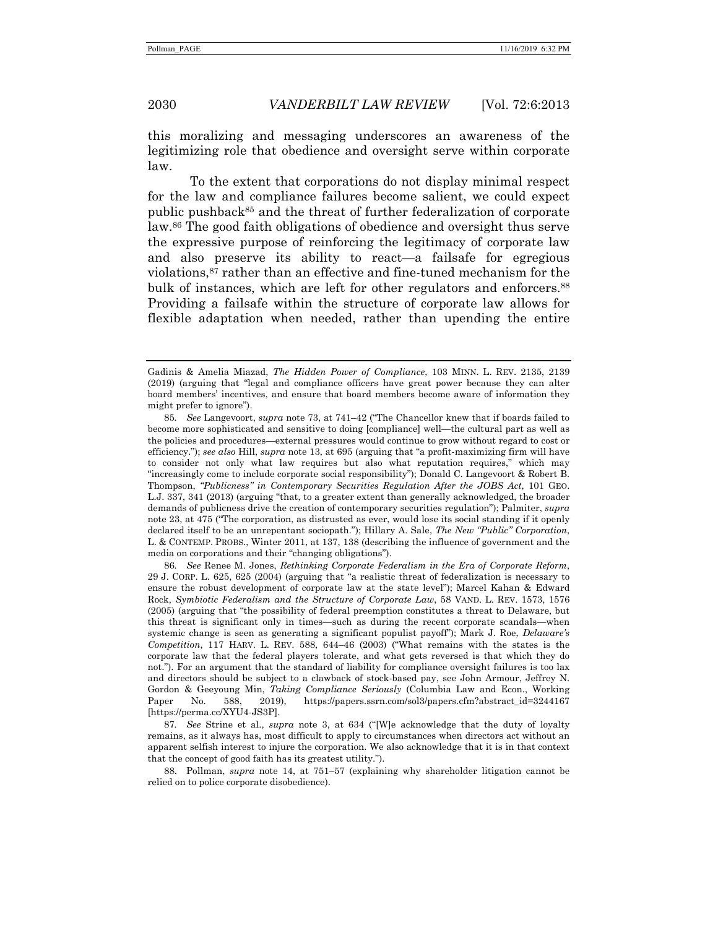this moralizing and messaging underscores an awareness of the legitimizing role that obedience and oversight serve within corporate law.

To the extent that corporations do not display minimal respect for the law and compliance failures become salient, we could expect public pushback85 and the threat of further federalization of corporate law.86 The good faith obligations of obedience and oversight thus serve the expressive purpose of reinforcing the legitimacy of corporate law and also preserve its ability to react—a failsafe for egregious violations,87 rather than an effective and fine-tuned mechanism for the bulk of instances, which are left for other regulators and enforcers.<sup>88</sup> Providing a failsafe within the structure of corporate law allows for flexible adaptation when needed, rather than upending the entire

86*. See* Renee M. Jones, *Rethinking Corporate Federalism in the Era of Corporate Reform*, 29 J. CORP. L. 625, 625 (2004) (arguing that "a realistic threat of federalization is necessary to ensure the robust development of corporate law at the state level"); Marcel Kahan & Edward Rock, *Symbiotic Federalism and the Structure of Corporate Law*, 58 VAND. L. REV. 1573, 1576 (2005) (arguing that "the possibility of federal preemption constitutes a threat to Delaware, but this threat is significant only in times—such as during the recent corporate scandals—when systemic change is seen as generating a significant populist payoff"); Mark J. Roe, *Delaware's Competition*, 117 HARV. L. REV. 588, 644–46 (2003) ("What remains with the states is the corporate law that the federal players tolerate, and what gets reversed is that which they do not."). For an argument that the standard of liability for compliance oversight failures is too lax and directors should be subject to a clawback of stock-based pay, see John Armour, Jeffrey N. Gordon & Geeyoung Min, *Taking Compliance Seriously* (Columbia Law and Econ., Working Paper No. 588, 2019), https://papers.ssrn.com/sol3/papers.cfm?abstract\_id=3244167 [https://perma.cc/XYU4-JS3P].

87*. See* Strine et al., *supra* note 3, at 634 ("[W]e acknowledge that the duty of loyalty remains, as it always has, most difficult to apply to circumstances when directors act without an apparent selfish interest to injure the corporation. We also acknowledge that it is in that context that the concept of good faith has its greatest utility.").

 88. Pollman, *supra* note 14, at 751–57 (explaining why shareholder litigation cannot be relied on to police corporate disobedience).

Gadinis & Amelia Miazad, *The Hidden Power of Compliance*, 103 MINN. L. REV. 2135, 2139 (2019) (arguing that "legal and compliance officers have great power because they can alter board members' incentives, and ensure that board members become aware of information they might prefer to ignore").

<sup>85</sup>*. See* Langevoort, *supra* note 73, at 741–42 ("The Chancellor knew that if boards failed to become more sophisticated and sensitive to doing [compliance] well—the cultural part as well as the policies and procedures—external pressures would continue to grow without regard to cost or efficiency."); *see also* Hill, *supra* note 13, at 695 (arguing that "a profit-maximizing firm will have to consider not only what law requires but also what reputation requires," which may "increasingly come to include corporate social responsibility"); Donald C. Langevoort & Robert B. Thompson, *''Publicness" in Contemporary Securities Regulation After the JOBS Act*, 101 GEO. L.J. 337, 341 (2013) (arguing "that, to a greater extent than generally acknowledged, the broader demands of publicness drive the creation of contemporary securities regulation"); Palmiter, *supra* note 23, at 475 ("The corporation, as distrusted as ever, would lose its social standing if it openly declared itself to be an unrepentant sociopath."); Hillary A. Sale, *The New "Public" Corporation*, L. & CONTEMP. PROBS., Winter 2011, at 137, 138 (describing the influence of government and the media on corporations and their "changing obligations").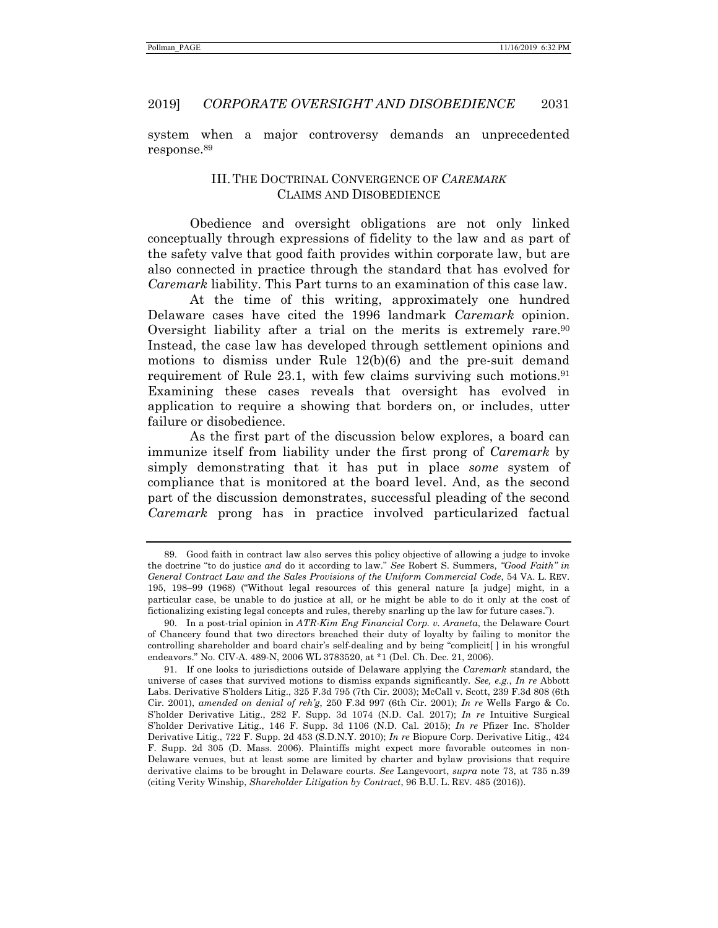system when a major controversy demands an unprecedented response.89

# III. THE DOCTRINAL CONVERGENCE OF *CAREMARK* CLAIMS AND DISOBEDIENCE

Obedience and oversight obligations are not only linked conceptually through expressions of fidelity to the law and as part of the safety valve that good faith provides within corporate law, but are also connected in practice through the standard that has evolved for *Caremark* liability. This Part turns to an examination of this case law.

At the time of this writing, approximately one hundred Delaware cases have cited the 1996 landmark *Caremark* opinion. Oversight liability after a trial on the merits is extremely rare.<sup>90</sup> Instead, the case law has developed through settlement opinions and motions to dismiss under Rule 12(b)(6) and the pre-suit demand requirement of Rule  $23.1$ , with few claims surviving such motions.<sup>91</sup> Examining these cases reveals that oversight has evolved in application to require a showing that borders on, or includes, utter failure or disobedience.

As the first part of the discussion below explores, a board can immunize itself from liability under the first prong of *Caremark* by simply demonstrating that it has put in place *some* system of compliance that is monitored at the board level. And, as the second part of the discussion demonstrates, successful pleading of the second *Caremark* prong has in practice involved particularized factual

 <sup>89.</sup> Good faith in contract law also serves this policy objective of allowing a judge to invoke the doctrine "to do justice *and* do it according to law." *See* Robert S. Summers, *"Good Faith" in General Contract Law and the Sales Provisions of the Uniform Commercial Code*, 54 VA. L. REV. 195, 198–99 (1968) ("Without legal resources of this general nature [a judge] might, in a particular case, be unable to do justice at all, or he might be able to do it only at the cost of fictionalizing existing legal concepts and rules, thereby snarling up the law for future cases.").

 <sup>90.</sup> In a post-trial opinion in *ATR-Kim Eng Financial Corp. v. Araneta*, the Delaware Court of Chancery found that two directors breached their duty of loyalty by failing to monitor the controlling shareholder and board chair's self-dealing and by being "complicit[ ] in his wrongful endeavors." No. CIV-A. 489-N, 2006 WL 3783520, at \*1 (Del. Ch. Dec. 21, 2006).

 <sup>91.</sup> If one looks to jurisdictions outside of Delaware applying the *Caremark* standard, the universe of cases that survived motions to dismiss expands significantly. *See, e.g.*, *In re* Abbott Labs. Derivative S'holders Litig., 325 F.3d 795 (7th Cir. 2003); McCall v. Scott, 239 F.3d 808 (6th Cir. 2001), *amended on denial of reh'g*, 250 F.3d 997 (6th Cir. 2001); *In re* Wells Fargo & Co. S'holder Derivative Litig., 282 F. Supp. 3d 1074 (N.D. Cal. 2017); *In re* Intuitive Surgical S'holder Derivative Litig., 146 F. Supp. 3d 1106 (N.D. Cal. 2015); *In re* Pfizer Inc. S'holder Derivative Litig., 722 F. Supp. 2d 453 (S.D.N.Y. 2010); *In re* Biopure Corp. Derivative Litig., 424 F. Supp. 2d 305 (D. Mass. 2006). Plaintiffs might expect more favorable outcomes in non-Delaware venues, but at least some are limited by charter and bylaw provisions that require derivative claims to be brought in Delaware courts. *See* Langevoort, *supra* note 73, at 735 n.39 (citing Verity Winship, *Shareholder Litigation by Contract*, 96 B.U. L. REV. 485 (2016)).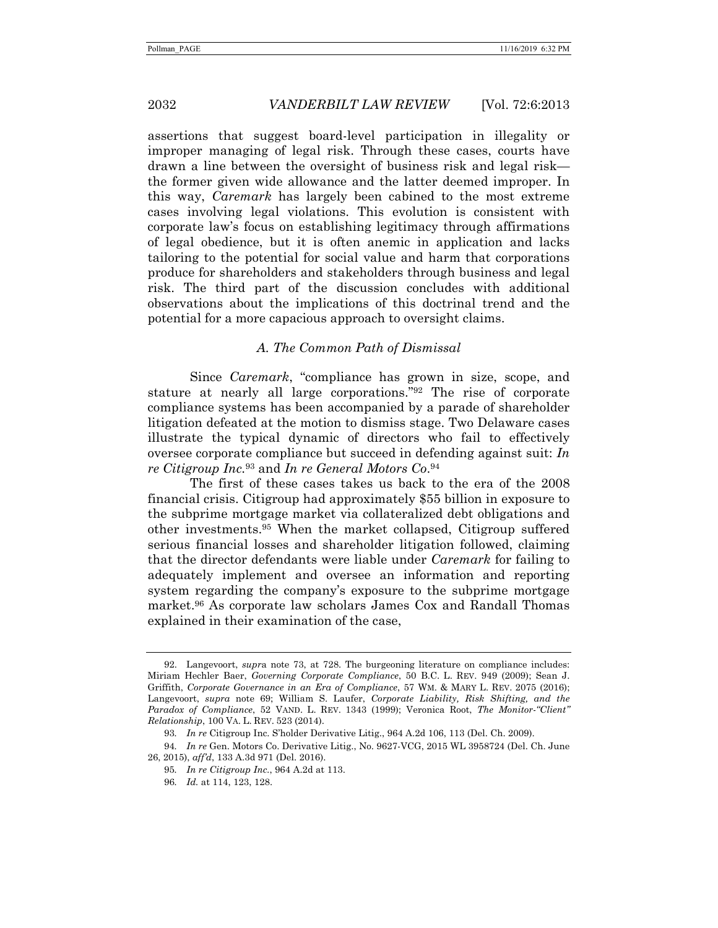assertions that suggest board-level participation in illegality or improper managing of legal risk. Through these cases, courts have drawn a line between the oversight of business risk and legal risk the former given wide allowance and the latter deemed improper. In this way, *Caremark* has largely been cabined to the most extreme cases involving legal violations. This evolution is consistent with corporate law's focus on establishing legitimacy through affirmations of legal obedience, but it is often anemic in application and lacks tailoring to the potential for social value and harm that corporations produce for shareholders and stakeholders through business and legal risk. The third part of the discussion concludes with additional observations about the implications of this doctrinal trend and the potential for a more capacious approach to oversight claims.

# *A. The Common Path of Dismissal*

Since *Caremark*, "compliance has grown in size, scope, and stature at nearly all large corporations."92 The rise of corporate compliance systems has been accompanied by a parade of shareholder litigation defeated at the motion to dismiss stage. Two Delaware cases illustrate the typical dynamic of directors who fail to effectively oversee corporate compliance but succeed in defending against suit: *In re Citigroup Inc.*93 and *In re General Motors Co*.94

The first of these cases takes us back to the era of the 2008 financial crisis. Citigroup had approximately \$55 billion in exposure to the subprime mortgage market via collateralized debt obligations and other investments.95 When the market collapsed, Citigroup suffered serious financial losses and shareholder litigation followed, claiming that the director defendants were liable under *Caremark* for failing to adequately implement and oversee an information and reporting system regarding the company's exposure to the subprime mortgage market.96 As corporate law scholars James Cox and Randall Thomas explained in their examination of the case,

 <sup>92.</sup> Langevoort, *supr*a note 73, at 728. The burgeoning literature on compliance includes: Miriam Hechler Baer, *Governing Corporate Compliance*, 50 B.C. L. REV. 949 (2009); Sean J. Griffith, *Corporate Governance in an Era of Compliance*, 57 WM. & MARY L. REV. 2075 (2016); Langevoort, *supra* note 69; William S. Laufer, *Corporate Liability, Risk Shifting, and the Paradox of Compliance*, 52 VAND. L. REV. 1343 (1999); Veronica Root, *The Monitor-"Client" Relationship*, 100 VA. L. REV. 523 (2014).

<sup>93</sup>*. In re* Citigroup Inc. S'holder Derivative Litig., 964 A.2d 106, 113 (Del. Ch. 2009).

<sup>94</sup>*. In re* Gen. Motors Co. Derivative Litig., No. 9627-VCG, 2015 WL 3958724 (Del. Ch. June 26, 2015), *aff'd*, 133 A.3d 971 (Del. 2016).

<sup>95</sup>*. In re Citigroup Inc.*, 964 A.2d at 113.

<sup>96</sup>*. Id.* at 114, 123, 128.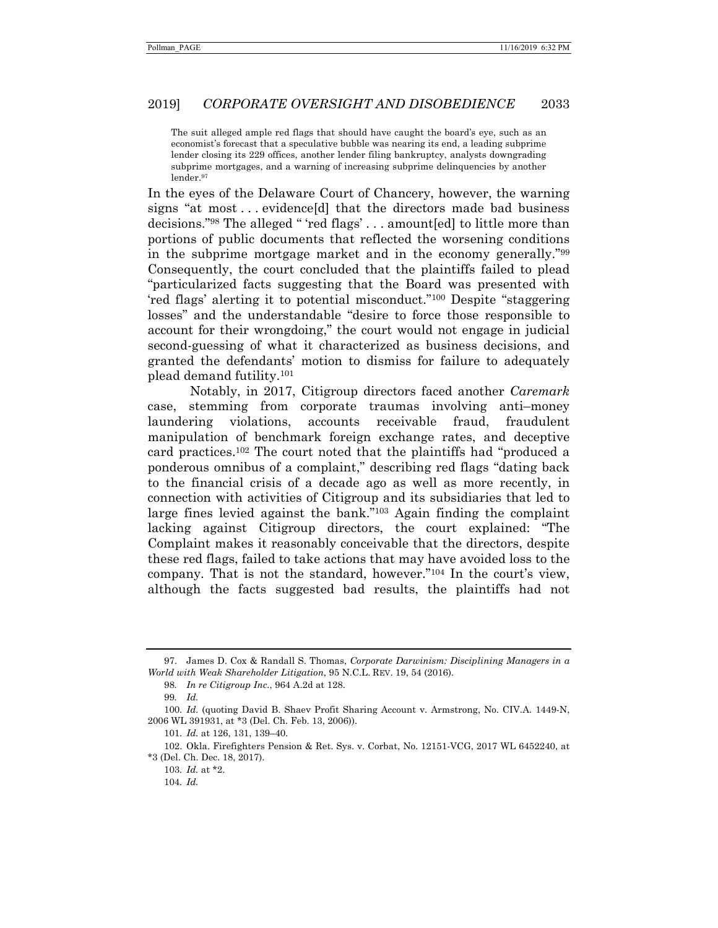The suit alleged ample red flags that should have caught the board's eye, such as an economist's forecast that a speculative bubble was nearing its end, a leading subprime lender closing its 229 offices, another lender filing bankruptcy, analysts downgrading subprime mortgages, and a warning of increasing subprime delinquencies by another lender.<br/> $\!^{97}$ 

In the eyes of the Delaware Court of Chancery, however, the warning signs "at most . . . evidence[d] that the directors made bad business decisions."98 The alleged " 'red flags' . . . amount[ed] to little more than portions of public documents that reflected the worsening conditions in the subprime mortgage market and in the economy generally."99 Consequently, the court concluded that the plaintiffs failed to plead "particularized facts suggesting that the Board was presented with 'red flags' alerting it to potential misconduct."100 Despite "staggering losses" and the understandable "desire to force those responsible to account for their wrongdoing," the court would not engage in judicial second-guessing of what it characterized as business decisions, and granted the defendants' motion to dismiss for failure to adequately plead demand futility.101

Notably, in 2017, Citigroup directors faced another *Caremark* case, stemming from corporate traumas involving anti–money laundering violations, accounts receivable fraud, fraudulent manipulation of benchmark foreign exchange rates, and deceptive card practices.102 The court noted that the plaintiffs had "produced a ponderous omnibus of a complaint," describing red flags "dating back to the financial crisis of a decade ago as well as more recently, in connection with activities of Citigroup and its subsidiaries that led to large fines levied against the bank."103 Again finding the complaint lacking against Citigroup directors, the court explained: "The Complaint makes it reasonably conceivable that the directors, despite these red flags, failed to take actions that may have avoided loss to the company. That is not the standard, however."104 In the court's view, although the facts suggested bad results, the plaintiffs had not

 <sup>97.</sup> James D. Cox & Randall S. Thomas, *Corporate Darwinism: Disciplining Managers in a World with Weak Shareholder Litigation*, 95 N.C.L. REV. 19, 54 (2016).

<sup>98</sup>*. In re Citigroup Inc.*, 964 A.2d at 128.

<sup>99</sup>*. Id.*

<sup>100</sup>*. Id.* (quoting David B. Shaev Profit Sharing Account v. Armstrong, No. CIV.A. 1449-N, 2006 WL 391931, at \*3 (Del. Ch. Feb. 13, 2006)).

<sup>101</sup>*. Id.* at 126, 131, 139–40.

 <sup>102.</sup> Okla. Firefighters Pension & Ret. Sys. v. Corbat, No. 12151-VCG, 2017 WL 6452240, at \*3 (Del. Ch. Dec. 18, 2017).

<sup>103</sup>*. Id.* at \*2.

<sup>104</sup>*. Id.*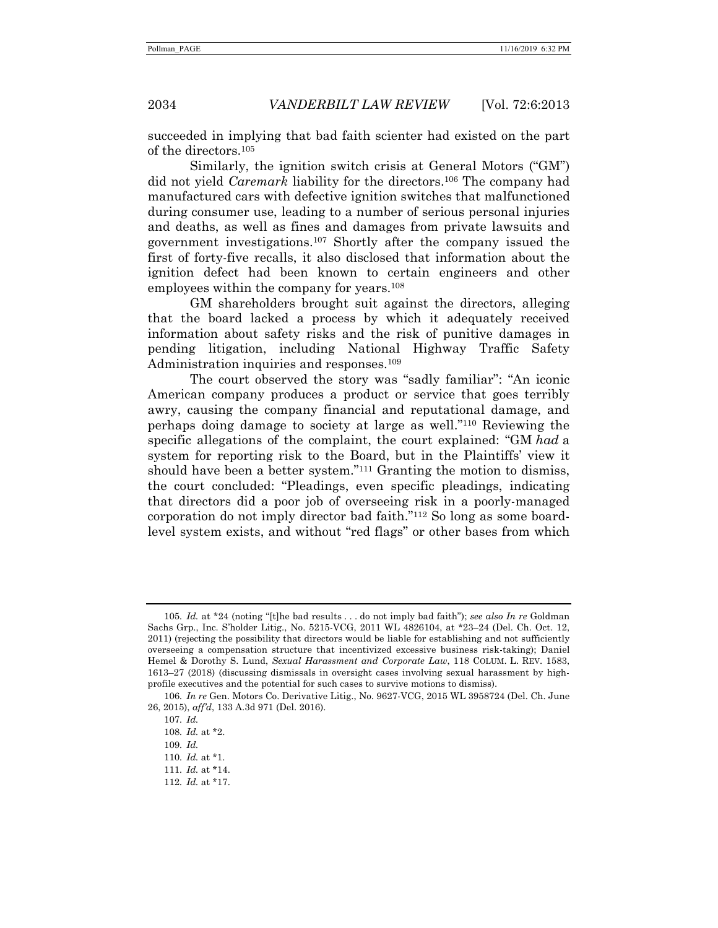succeeded in implying that bad faith scienter had existed on the part of the directors.105

Similarly, the ignition switch crisis at General Motors ("GM") did not yield *Caremark* liability for the directors.106 The company had manufactured cars with defective ignition switches that malfunctioned during consumer use, leading to a number of serious personal injuries and deaths, as well as fines and damages from private lawsuits and government investigations.107 Shortly after the company issued the first of forty-five recalls, it also disclosed that information about the ignition defect had been known to certain engineers and other employees within the company for years.108

GM shareholders brought suit against the directors, alleging that the board lacked a process by which it adequately received information about safety risks and the risk of punitive damages in pending litigation, including National Highway Traffic Safety Administration inquiries and responses.<sup>109</sup>

The court observed the story was "sadly familiar": "An iconic American company produces a product or service that goes terribly awry, causing the company financial and reputational damage, and perhaps doing damage to society at large as well."110 Reviewing the specific allegations of the complaint, the court explained: "GM *had* a system for reporting risk to the Board, but in the Plaintiffs' view it should have been a better system."111 Granting the motion to dismiss, the court concluded: "Pleadings, even specific pleadings, indicating that directors did a poor job of overseeing risk in a poorly-managed corporation do not imply director bad faith."112 So long as some boardlevel system exists, and without "red flags" or other bases from which

<sup>105</sup>*. Id.* at \*24 (noting "[t]he bad results . . . do not imply bad faith"); *see also In re* Goldman Sachs Grp., Inc. S'holder Litig., No. 5215-VCG, 2011 WL 4826104, at \*23–24 (Del. Ch. Oct. 12, 2011) (rejecting the possibility that directors would be liable for establishing and not sufficiently overseeing a compensation structure that incentivized excessive business risk-taking); Daniel Hemel & Dorothy S. Lund, *Sexual Harassment and Corporate Law*, 118 COLUM. L. REV. 1583, 1613–27 (2018) (discussing dismissals in oversight cases involving sexual harassment by highprofile executives and the potential for such cases to survive motions to dismiss).

<sup>106</sup>*. In re* Gen. Motors Co. Derivative Litig., No. 9627-VCG, 2015 WL 3958724 (Del. Ch. June 26, 2015), *aff'd*, 133 A.3d 971 (Del. 2016).

<sup>107</sup>*. Id.*

<sup>108</sup>*. Id.* at \*2.

<sup>109</sup>*. Id.*

<sup>110</sup>*. Id.* at \*1.

<sup>111</sup>*. Id.* at \*14.

<sup>112</sup>*. Id.* at \*17.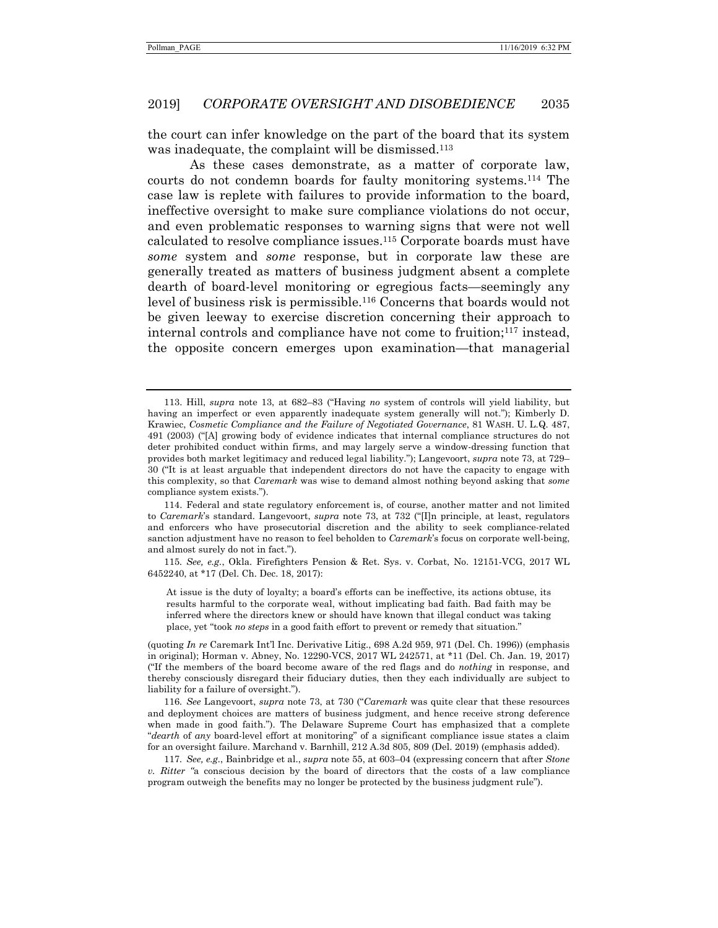the court can infer knowledge on the part of the board that its system was inadequate, the complaint will be dismissed.<sup>113</sup>

As these cases demonstrate, as a matter of corporate law, courts do not condemn boards for faulty monitoring systems.114 The case law is replete with failures to provide information to the board, ineffective oversight to make sure compliance violations do not occur, and even problematic responses to warning signs that were not well calculated to resolve compliance issues.115 Corporate boards must have *some* system and *some* response, but in corporate law these are generally treated as matters of business judgment absent a complete dearth of board-level monitoring or egregious facts—seemingly any level of business risk is permissible.116 Concerns that boards would not be given leeway to exercise discretion concerning their approach to internal controls and compliance have not come to fruition;117 instead, the opposite concern emerges upon examination—that managerial

115*. See, e.g.*, Okla. Firefighters Pension & Ret. Sys. v. Corbat, No. 12151-VCG, 2017 WL 6452240, at \*17 (Del. Ch. Dec. 18, 2017):

At issue is the duty of loyalty; a board's efforts can be ineffective, its actions obtuse, its results harmful to the corporate weal, without implicating bad faith. Bad faith may be inferred where the directors knew or should have known that illegal conduct was taking place, yet "took *no steps* in a good faith effort to prevent or remedy that situation."

(quoting *In re* Caremark Int'l Inc. Derivative Litig., 698 A.2d 959, 971 (Del. Ch. 1996)) (emphasis in original); Horman v. Abney, No. 12290-VCS, 2017 WL 242571, at \*11 (Del. Ch. Jan. 19, 2017) ("If the members of the board become aware of the red flags and do *nothing* in response, and thereby consciously disregard their fiduciary duties, then they each individually are subject to liability for a failure of oversight.").

116*. See* Langevoort, *supra* note 73, at 730 ("*Caremark* was quite clear that these resources and deployment choices are matters of business judgment, and hence receive strong deference when made in good faith."). The Delaware Supreme Court has emphasized that a complete "*dearth* of *any* board-level effort at monitoring" of a significant compliance issue states a claim for an oversight failure. Marchand v. Barnhill, 212 A.3d 805, 809 (Del. 2019) (emphasis added).

117*. See, e.g.*, Bainbridge et al., *supra* note 55, at 603–04 (expressing concern that after *Stone v. Ritter "*a conscious decision by the board of directors that the costs of a law compliance program outweigh the benefits may no longer be protected by the business judgment rule").

 <sup>113.</sup> Hill, *supra* note 13, at 682–83 ("Having *no* system of controls will yield liability, but having an imperfect or even apparently inadequate system generally will not."); Kimberly D. Krawiec, *Cosmetic Compliance and the Failure of Negotiated Governance*, 81 WASH. U. L.Q. 487, 491 (2003) ("[A] growing body of evidence indicates that internal compliance structures do not deter prohibited conduct within firms, and may largely serve a window-dressing function that provides both market legitimacy and reduced legal liability."); Langevoort, *supra* note 73, at 729– 30 ("It is at least arguable that independent directors do not have the capacity to engage with this complexity, so that *Caremark* was wise to demand almost nothing beyond asking that *some*  compliance system exists.").

 <sup>114.</sup> Federal and state regulatory enforcement is, of course, another matter and not limited to *Caremark*'s standard. Langevoort, *supra* note 73, at 732 ("[I]n principle, at least, regulators and enforcers who have prosecutorial discretion and the ability to seek compliance-related sanction adjustment have no reason to feel beholden to *Caremark*'s focus on corporate well-being, and almost surely do not in fact.").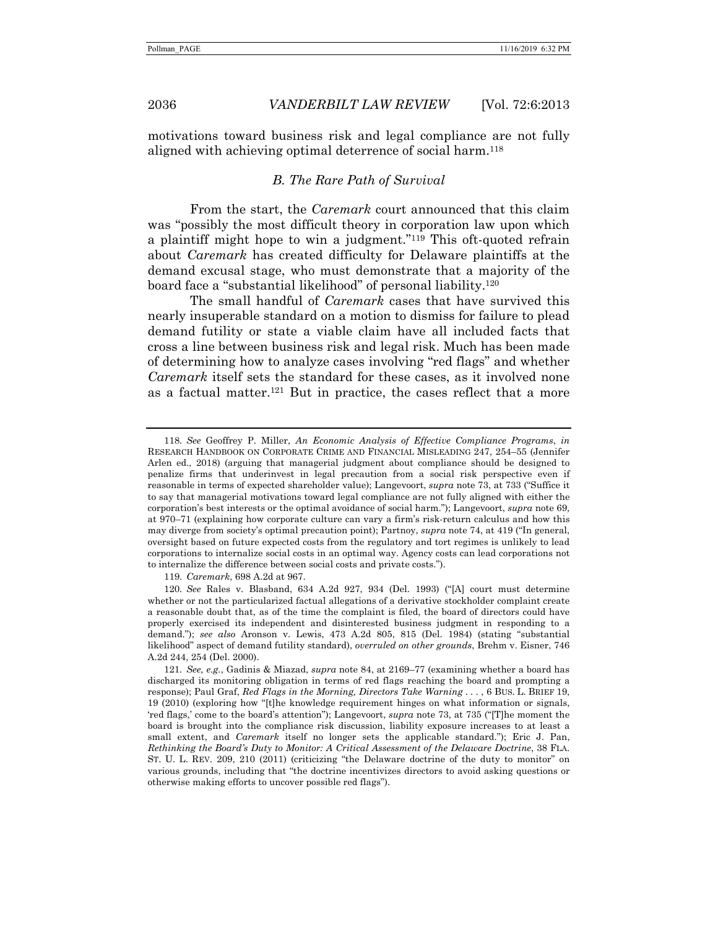motivations toward business risk and legal compliance are not fully aligned with achieving optimal deterrence of social harm.<sup>118</sup>

# *B. The Rare Path of Survival*

From the start, the *Caremark* court announced that this claim was "possibly the most difficult theory in corporation law upon which a plaintiff might hope to win a judgment."119 This oft-quoted refrain about *Caremark* has created difficulty for Delaware plaintiffs at the demand excusal stage, who must demonstrate that a majority of the board face a "substantial likelihood" of personal liability.120

The small handful of *Caremark* cases that have survived this nearly insuperable standard on a motion to dismiss for failure to plead demand futility or state a viable claim have all included facts that cross a line between business risk and legal risk. Much has been made of determining how to analyze cases involving "red flags" and whether *Caremark* itself sets the standard for these cases, as it involved none as a factual matter.121 But in practice, the cases reflect that a more

119*. Caremark*, 698 A.2d at 967.

<sup>118</sup>*. See* Geoffrey P. Miller, *An Economic Analysis of Effective Compliance Programs*, *in* RESEARCH HANDBOOK ON CORPORATE CRIME AND FINANCIAL MISLEADING 247, 254–55 (Jennifer Arlen ed., 2018) (arguing that managerial judgment about compliance should be designed to penalize firms that underinvest in legal precaution from a social risk perspective even if reasonable in terms of expected shareholder value); Langevoort, *supra* note 73, at 733 ("Suffice it to say that managerial motivations toward legal compliance are not fully aligned with either the corporation's best interests or the optimal avoidance of social harm."); Langevoort, *supra* note 69, at 970–71 (explaining how corporate culture can vary a firm's risk-return calculus and how this may diverge from society's optimal precaution point); Partnoy, *supra* note 74, at 419 ("In general, oversight based on future expected costs from the regulatory and tort regimes is unlikely to lead corporations to internalize social costs in an optimal way. Agency costs can lead corporations not to internalize the difference between social costs and private costs.").

<sup>120</sup>*. See* Rales v. Blasband, 634 A.2d 927, 934 (Del. 1993) ("[A] court must determine whether or not the particularized factual allegations of a derivative stockholder complaint create a reasonable doubt that, as of the time the complaint is filed, the board of directors could have properly exercised its independent and disinterested business judgment in responding to a demand."); *see also* Aronson v. Lewis, 473 A.2d 805, 815 (Del. 1984) (stating "substantial likelihood" aspect of demand futility standard), *overruled on other grounds*, Brehm v. Eisner, 746 A.2d 244, 254 (Del. 2000).

<sup>121</sup>*. See, e.g.*, Gadinis & Miazad, *supra* note 84, at 2169–77 (examining whether a board has discharged its monitoring obligation in terms of red flags reaching the board and prompting a response); Paul Graf, *Red Flags in the Morning, Directors Take Warning* . . . , 6 BUS. L. BRIEF 19, 19 (2010) (exploring how "[t]he knowledge requirement hinges on what information or signals, 'red flags,' come to the board's attention"); Langevoort, *supra* note 73, at 735 ("[T]he moment the board is brought into the compliance risk discussion, liability exposure increases to at least a small extent, and *Caremark* itself no longer sets the applicable standard."); Eric J. Pan, *Rethinking the Board's Duty to Monitor: A Critical Assessment of the Delaware Doctrine*, 38 FLA. ST. U. L. REV. 209, 210 (2011) (criticizing "the Delaware doctrine of the duty to monitor" on various grounds, including that "the doctrine incentivizes directors to avoid asking questions or otherwise making efforts to uncover possible red flags").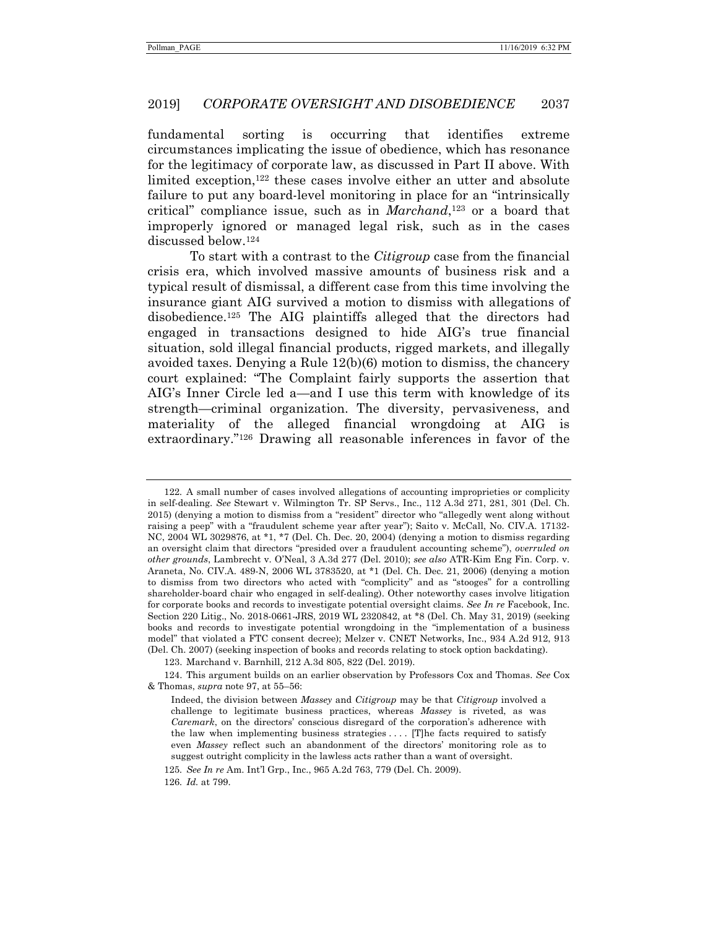fundamental sorting is occurring that identifies extreme circumstances implicating the issue of obedience, which has resonance for the legitimacy of corporate law, as discussed in Part II above. With limited exception,122 these cases involve either an utter and absolute failure to put any board-level monitoring in place for an "intrinsically critical" compliance issue, such as in *Marchand*,<sup>123</sup> or a board that improperly ignored or managed legal risk, such as in the cases discussed below.124

To start with a contrast to the *Citigroup* case from the financial crisis era, which involved massive amounts of business risk and a typical result of dismissal, a different case from this time involving the insurance giant AIG survived a motion to dismiss with allegations of disobedience.125 The AIG plaintiffs alleged that the directors had engaged in transactions designed to hide AIG's true financial situation, sold illegal financial products, rigged markets, and illegally avoided taxes. Denying a Rule 12(b)(6) motion to dismiss, the chancery court explained: "The Complaint fairly supports the assertion that AIG's Inner Circle led a—and I use this term with knowledge of its strength—criminal organization. The diversity, pervasiveness, and materiality of the alleged financial wrongdoing at AIG is extraordinary."126 Drawing all reasonable inferences in favor of the

<sup>122</sup>*.* A small number of cases involved allegations of accounting improprieties or complicity in self-dealing. *See* Stewart v. Wilmington Tr. SP Servs., Inc., 112 A.3d 271, 281, 301 (Del. Ch. 2015) (denying a motion to dismiss from a "resident" director who "allegedly went along without raising a peep" with a "fraudulent scheme year after year"); Saito v. McCall, No. CIV.A. 17132- NC, 2004 WL 3029876, at \*1, \*7 (Del. Ch. Dec. 20, 2004) (denying a motion to dismiss regarding an oversight claim that directors "presided over a fraudulent accounting scheme"), *overruled on other grounds*, Lambrecht v. O'Neal, 3 A.3d 277 (Del. 2010); *see also* ATR-Kim Eng Fin. Corp. v. Araneta, No. CIV.A. 489-N, 2006 WL 3783520, at \*1 (Del. Ch. Dec. 21, 2006) (denying a motion to dismiss from two directors who acted with "complicity" and as "stooges" for a controlling shareholder-board chair who engaged in self-dealing). Other noteworthy cases involve litigation for corporate books and records to investigate potential oversight claims. *See In re* Facebook, Inc. Section 220 Litig., No. 2018-0661-JRS, 2019 WL 2320842, at \*8 (Del. Ch. May 31, 2019) (seeking books and records to investigate potential wrongdoing in the "implementation of a business model" that violated a FTC consent decree); Melzer v. CNET Networks, Inc., 934 A.2d 912, 913 (Del. Ch. 2007) (seeking inspection of books and records relating to stock option backdating).

 <sup>123.</sup> Marchand v. Barnhill, 212 A.3d 805, 822 (Del. 2019).

 <sup>124.</sup> This argument builds on an earlier observation by Professors Cox and Thomas. *See* Cox & Thomas, *supra* note 97, at 55–56:

Indeed, the division between *Massey* and *Citigroup* may be that *Citigroup* involved a challenge to legitimate business practices, whereas *Massey* is riveted, as was *Caremark*, on the directors' conscious disregard of the corporation's adherence with the law when implementing business strategies .... [T]he facts required to satisfy even *Massey* reflect such an abandonment of the directors' monitoring role as to suggest outright complicity in the lawless acts rather than a want of oversight.

<sup>125</sup>*. See In re* Am. Int'l Grp., Inc., 965 A.2d 763, 779 (Del. Ch. 2009).

<sup>126</sup>*. Id.* at 799.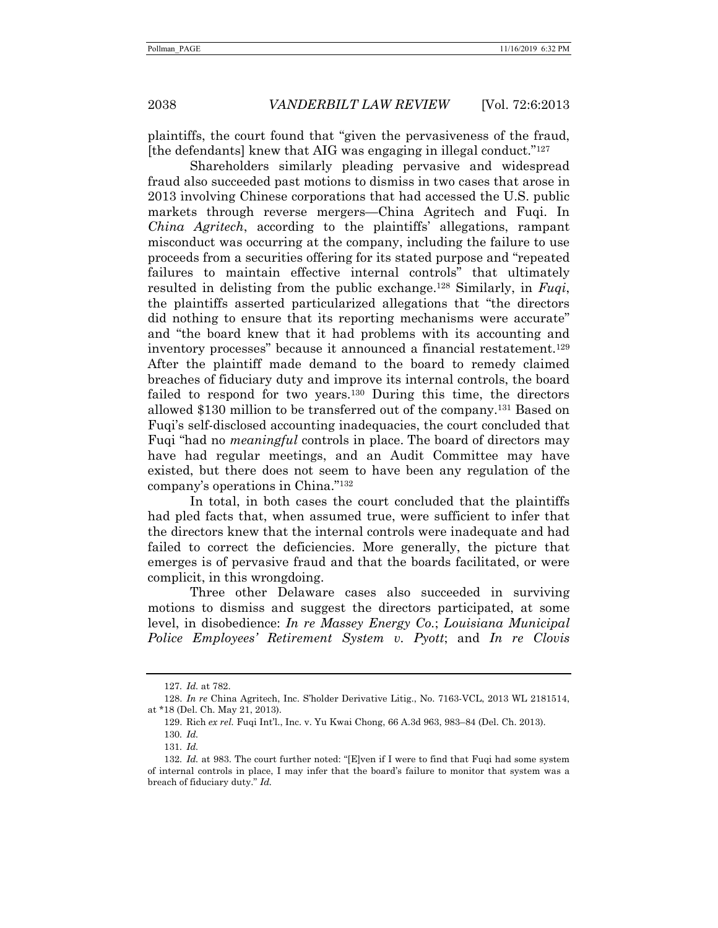plaintiffs, the court found that "given the pervasiveness of the fraud, [the defendants] knew that AIG was engaging in illegal conduct."127

Shareholders similarly pleading pervasive and widespread fraud also succeeded past motions to dismiss in two cases that arose in 2013 involving Chinese corporations that had accessed the U.S. public markets through reverse mergers—China Agritech and Fuqi. In *China Agritech*, according to the plaintiffs' allegations, rampant misconduct was occurring at the company, including the failure to use proceeds from a securities offering for its stated purpose and "repeated failures to maintain effective internal controls" that ultimately resulted in delisting from the public exchange.128 Similarly, in *Fuqi*, the plaintiffs asserted particularized allegations that "the directors did nothing to ensure that its reporting mechanisms were accurate" and "the board knew that it had problems with its accounting and inventory processes" because it announced a financial restatement.129 After the plaintiff made demand to the board to remedy claimed breaches of fiduciary duty and improve its internal controls, the board failed to respond for two years.130 During this time, the directors allowed \$130 million to be transferred out of the company.131 Based on Fuqi's self-disclosed accounting inadequacies, the court concluded that Fuqi "had no *meaningful* controls in place. The board of directors may have had regular meetings, and an Audit Committee may have existed, but there does not seem to have been any regulation of the company's operations in China."132

In total, in both cases the court concluded that the plaintiffs had pled facts that, when assumed true, were sufficient to infer that the directors knew that the internal controls were inadequate and had failed to correct the deficiencies. More generally, the picture that emerges is of pervasive fraud and that the boards facilitated, or were complicit, in this wrongdoing.

Three other Delaware cases also succeeded in surviving motions to dismiss and suggest the directors participated, at some level, in disobedience: *In re Massey Energy Co.*; *Louisiana Municipal Police Employees' Retirement System v. Pyott*; and *In re Clovis* 

<sup>127</sup>*. Id.* at 782.

 <sup>128.</sup> *In re* China Agritech, Inc. S'holder Derivative Litig., No. 7163-VCL, 2013 WL 2181514, at \*18 (Del. Ch. May 21, 2013).

 <sup>129.</sup> Rich *ex rel.* Fuqi Int'l., Inc. v. Yu Kwai Chong, 66 A.3d 963, 983–84 (Del. Ch. 2013).

<sup>130</sup>*. Id.*

<sup>131</sup>*. Id.*

<sup>132</sup>*. Id.* at 983. The court further noted: "[E]ven if I were to find that Fuqi had some system of internal controls in place, I may infer that the board's failure to monitor that system was a breach of fiduciary duty." *Id.*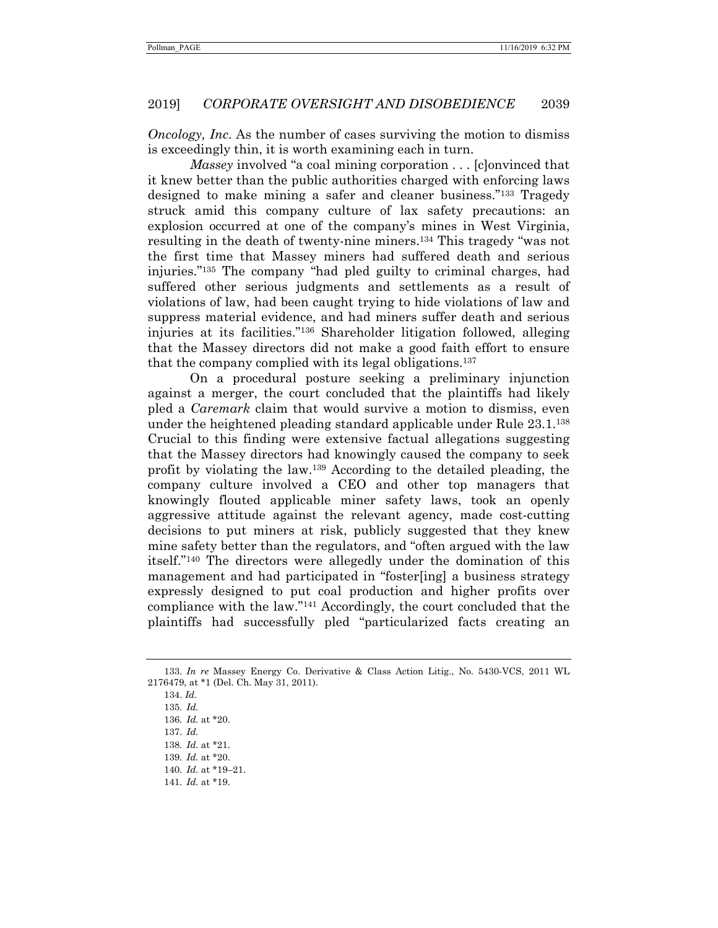*Oncology, Inc.* As the number of cases surviving the motion to dismiss is exceedingly thin, it is worth examining each in turn.

*Massey* involved "a coal mining corporation . . . [c]onvinced that it knew better than the public authorities charged with enforcing laws designed to make mining a safer and cleaner business."133 Tragedy struck amid this company culture of lax safety precautions: an explosion occurred at one of the company's mines in West Virginia, resulting in the death of twenty-nine miners.134 This tragedy "was not the first time that Massey miners had suffered death and serious injuries."135 The company "had pled guilty to criminal charges, had suffered other serious judgments and settlements as a result of violations of law, had been caught trying to hide violations of law and suppress material evidence, and had miners suffer death and serious injuries at its facilities."136 Shareholder litigation followed, alleging that the Massey directors did not make a good faith effort to ensure that the company complied with its legal obligations.137

On a procedural posture seeking a preliminary injunction against a merger, the court concluded that the plaintiffs had likely pled a *Caremark* claim that would survive a motion to dismiss, even under the heightened pleading standard applicable under Rule 23.1.138 Crucial to this finding were extensive factual allegations suggesting that the Massey directors had knowingly caused the company to seek profit by violating the law.139 According to the detailed pleading, the company culture involved a CEO and other top managers that knowingly flouted applicable miner safety laws, took an openly aggressive attitude against the relevant agency, made cost-cutting decisions to put miners at risk, publicly suggested that they knew mine safety better than the regulators, and "often argued with the law itself."140 The directors were allegedly under the domination of this management and had participated in "foster[ing] a business strategy expressly designed to put coal production and higher profits over compliance with the law."141 Accordingly, the court concluded that the plaintiffs had successfully pled "particularized facts creating an

 <sup>133.</sup> *In re* Massey Energy Co. Derivative & Class Action Litig., No. 5430-VCS, 2011 WL 2176479, at \*1 (Del. Ch. May 31, 2011).

 <sup>134.</sup> *Id.*

<sup>135</sup>*. Id.*

<sup>136</sup>*. Id.* at \*20.

<sup>137.</sup> *Id.*

<sup>138</sup>*. Id.* at \*21. 139*. Id.* at \*20.

<sup>140</sup>*. Id.* at \*19–21.

<sup>141</sup>*. Id.* at \*19.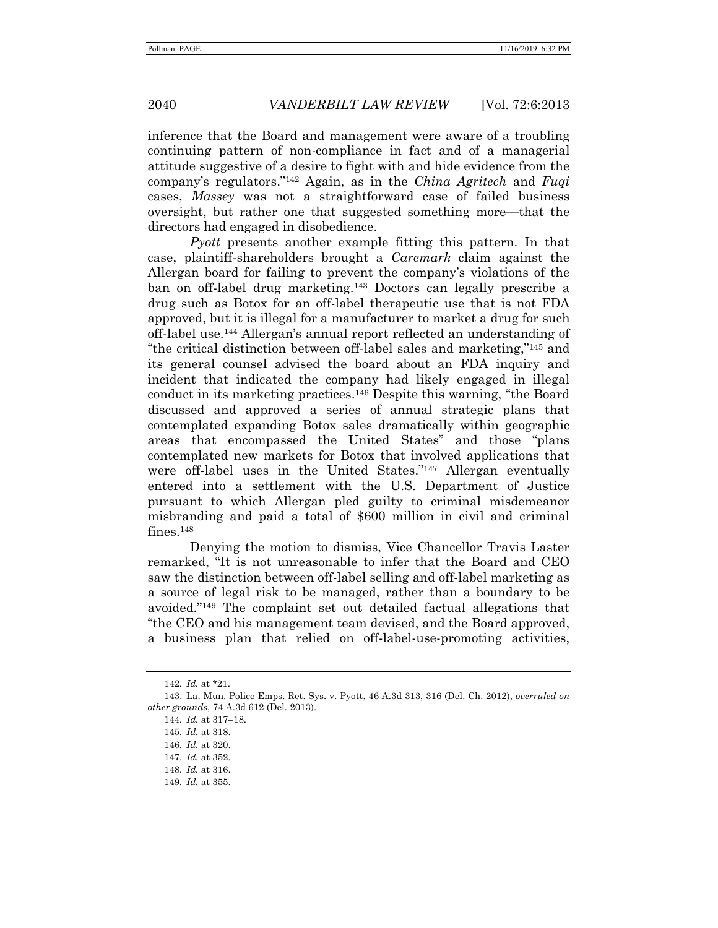inference that the Board and management were aware of a troubling continuing pattern of non-compliance in fact and of a managerial attitude suggestive of a desire to fight with and hide evidence from the company's regulators."142 Again, as in the *China Agritech* and *Fuqi*  cases, *Massey* was not a straightforward case of failed business oversight, but rather one that suggested something more—that the directors had engaged in disobedience.

*Pyott* presents another example fitting this pattern. In that case, plaintiff-shareholders brought a *Caremark* claim against the Allergan board for failing to prevent the company's violations of the ban on off-label drug marketing.143 Doctors can legally prescribe a drug such as Botox for an off-label therapeutic use that is not FDA approved, but it is illegal for a manufacturer to market a drug for such off-label use.144 Allergan's annual report reflected an understanding of "the critical distinction between off-label sales and marketing,"145 and its general counsel advised the board about an FDA inquiry and incident that indicated the company had likely engaged in illegal conduct in its marketing practices.146 Despite this warning, "the Board discussed and approved a series of annual strategic plans that contemplated expanding Botox sales dramatically within geographic areas that encompassed the United States" and those "plans contemplated new markets for Botox that involved applications that were off-label uses in the United States."147 Allergan eventually entered into a settlement with the U.S. Department of Justice pursuant to which Allergan pled guilty to criminal misdemeanor misbranding and paid a total of \$600 million in civil and criminal fines.148

Denying the motion to dismiss, Vice Chancellor Travis Laster remarked, "It is not unreasonable to infer that the Board and CEO saw the distinction between off-label selling and off-label marketing as a source of legal risk to be managed, rather than a boundary to be avoided."149 The complaint set out detailed factual allegations that "the CEO and his management team devised, and the Board approved, a business plan that relied on off-label-use-promoting activities,

<sup>142</sup>*. Id.* at \*21.

<sup>143.</sup> La. Mun. Police Emps. Ret. Sys. v. Pyott, 46 A.3d 313, 316 (Del. Ch. 2012), *overruled on other grounds*, 74 A.3d 612 (Del. 2013).

<sup>144</sup>*. Id.* at 317–18.

<sup>145</sup>*. Id.* at 318.

<sup>146</sup>*. Id.* at 320.

<sup>147</sup>*. Id.* at 352.

<sup>148</sup>*. Id.* at 316.

<sup>149</sup>*. Id.* at 355.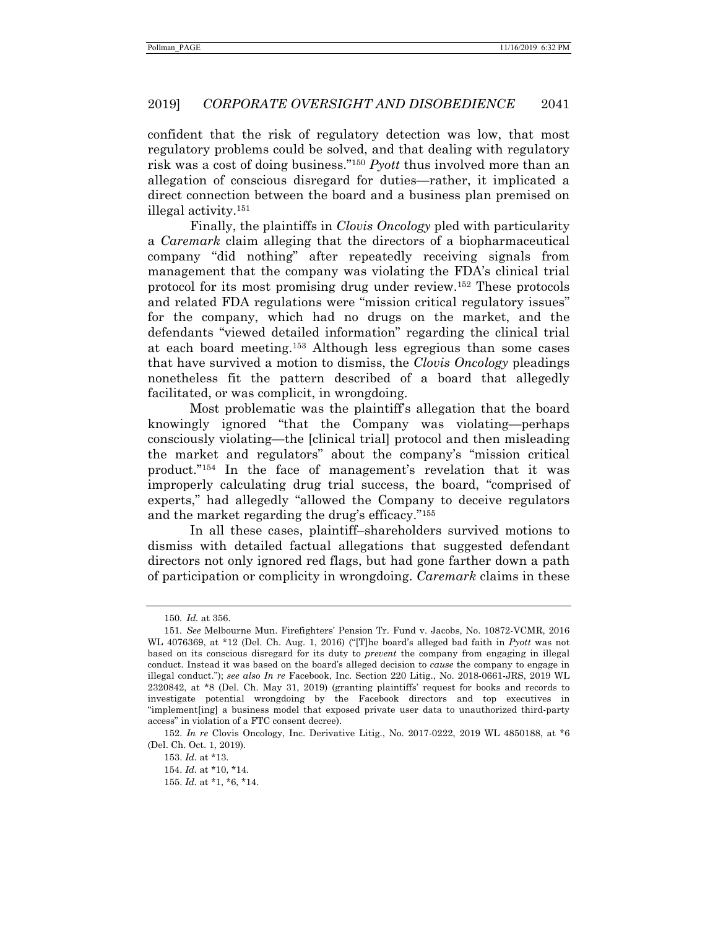confident that the risk of regulatory detection was low, that most regulatory problems could be solved, and that dealing with regulatory risk was a cost of doing business."150 *Pyott* thus involved more than an allegation of conscious disregard for duties—rather, it implicated a direct connection between the board and a business plan premised on illegal activity.151

Finally, the plaintiffs in *Clovis Oncology* pled with particularity a *Caremark* claim alleging that the directors of a biopharmaceutical company "did nothing" after repeatedly receiving signals from management that the company was violating the FDA's clinical trial protocol for its most promising drug under review.152 These protocols and related FDA regulations were "mission critical regulatory issues" for the company, which had no drugs on the market, and the defendants "viewed detailed information" regarding the clinical trial at each board meeting.153 Although less egregious than some cases that have survived a motion to dismiss, the *Clovis Oncology* pleadings nonetheless fit the pattern described of a board that allegedly facilitated, or was complicit, in wrongdoing.

Most problematic was the plaintiff's allegation that the board knowingly ignored "that the Company was violating—perhaps consciously violating—the [clinical trial] protocol and then misleading the market and regulators" about the company's "mission critical product."154 In the face of management's revelation that it was improperly calculating drug trial success, the board, "comprised of experts," had allegedly "allowed the Company to deceive regulators and the market regarding the drug's efficacy."155

In all these cases, plaintiff–shareholders survived motions to dismiss with detailed factual allegations that suggested defendant directors not only ignored red flags, but had gone farther down a path of participation or complicity in wrongdoing. *Caremark* claims in these

<sup>150</sup>*. Id.* at 356.

<sup>151</sup>*. See* Melbourne Mun. Firefighters' Pension Tr. Fund v. Jacobs, No. 10872-VCMR, 2016 WL 4076369, at \*12 (Del. Ch. Aug. 1, 2016) ("[T]he board's alleged bad faith in *Pyott* was not based on its conscious disregard for its duty to *prevent* the company from engaging in illegal conduct. Instead it was based on the board's alleged decision to *cause* the company to engage in illegal conduct."); *see also In re* Facebook, Inc. Section 220 Litig., No. 2018-0661-JRS, 2019 WL 2320842, at \*8 (Del. Ch. May 31, 2019) (granting plaintiffs' request for books and records to investigate potential wrongdoing by the Facebook directors and top executives in "implement[ing] a business model that exposed private user data to unauthorized third-party access" in violation of a FTC consent decree).

 <sup>152.</sup> *In re* Clovis Oncology, Inc. Derivative Litig., No. 2017-0222, 2019 WL 4850188, at \*6 (Del. Ch. Oct. 1, 2019).

 <sup>153.</sup> *Id.* at \*13.

 <sup>154.</sup> *Id.* at \*10, \*14.

 <sup>155.</sup> *Id.* at \*1, \*6, \*14.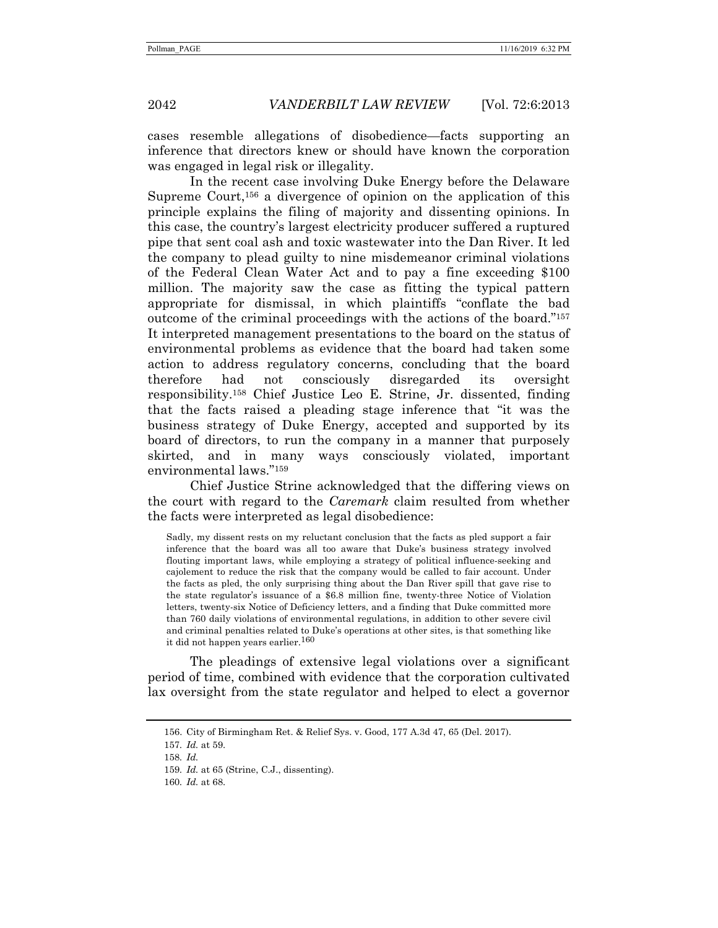cases resemble allegations of disobedience—facts supporting an inference that directors knew or should have known the corporation was engaged in legal risk or illegality.

In the recent case involving Duke Energy before the Delaware Supreme Court,156 a divergence of opinion on the application of this principle explains the filing of majority and dissenting opinions. In this case, the country's largest electricity producer suffered a ruptured pipe that sent coal ash and toxic wastewater into the Dan River. It led the company to plead guilty to nine misdemeanor criminal violations of the Federal Clean Water Act and to pay a fine exceeding \$100 million. The majority saw the case as fitting the typical pattern appropriate for dismissal, in which plaintiffs "conflate the bad outcome of the criminal proceedings with the actions of the board."157 It interpreted management presentations to the board on the status of environmental problems as evidence that the board had taken some action to address regulatory concerns, concluding that the board therefore had not consciously disregarded its oversight responsibility.158 Chief Justice Leo E. Strine, Jr. dissented, finding that the facts raised a pleading stage inference that "it was the business strategy of Duke Energy, accepted and supported by its board of directors, to run the company in a manner that purposely skirted, and in many ways consciously violated, important environmental laws."159

Chief Justice Strine acknowledged that the differing views on the court with regard to the *Caremark* claim resulted from whether the facts were interpreted as legal disobedience:

Sadly, my dissent rests on my reluctant conclusion that the facts as pled support a fair inference that the board was all too aware that Duke's business strategy involved flouting important laws, while employing a strategy of political influence-seeking and cajolement to reduce the risk that the company would be called to fair account. Under the facts as pled, the only surprising thing about the Dan River spill that gave rise to the state regulator's issuance of a \$6.8 million fine, twenty-three Notice of Violation letters, twenty-six Notice of Deficiency letters, and a finding that Duke committed more than 760 daily violations of environmental regulations, in addition to other severe civil and criminal penalties related to Duke's operations at other sites, is that something like it did not happen years earlier.  $^{160}\,$ 

The pleadings of extensive legal violations over a significant period of time, combined with evidence that the corporation cultivated lax oversight from the state regulator and helped to elect a governor

160*. Id.* at 68.

 <sup>156.</sup> City of Birmingham Ret. & Relief Sys. v. Good, 177 A.3d 47, 65 (Del. 2017).

<sup>157</sup>*. Id.* at 59.

<sup>158</sup>*. Id.*

<sup>159</sup>*. Id.* at 65 (Strine, C.J., dissenting).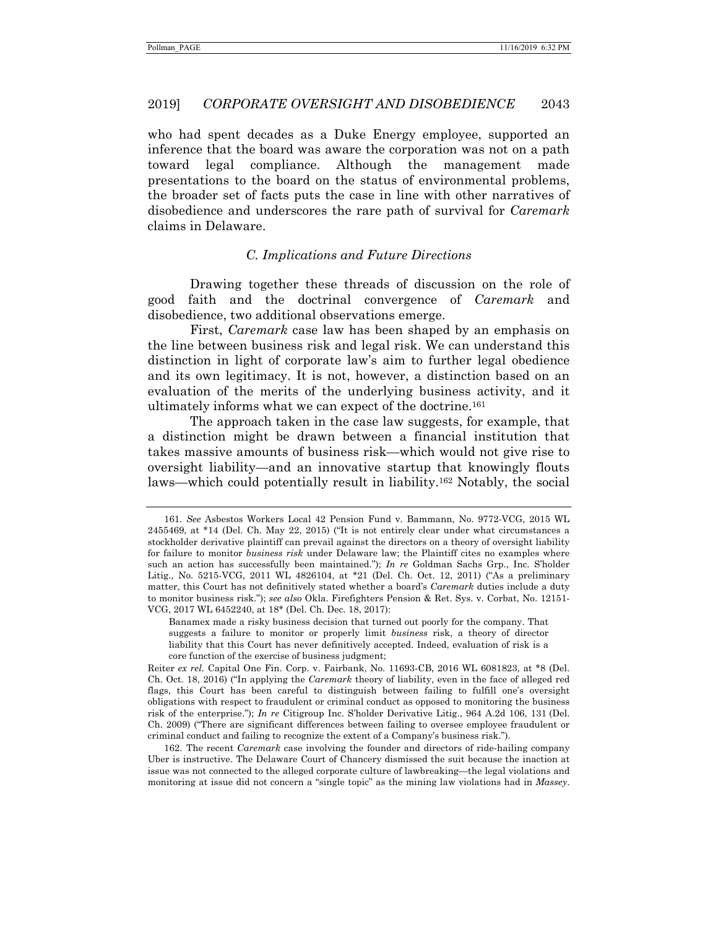who had spent decades as a Duke Energy employee, supported an inference that the board was aware the corporation was not on a path toward legal compliance. Although the management made presentations to the board on the status of environmental problems, the broader set of facts puts the case in line with other narratives of disobedience and underscores the rare path of survival for *Caremark* claims in Delaware.

#### *C. Implications and Future Directions*

Drawing together these threads of discussion on the role of good faith and the doctrinal convergence of *Caremark* and disobedience, two additional observations emerge.

First, *Caremark* case law has been shaped by an emphasis on the line between business risk and legal risk. We can understand this distinction in light of corporate law's aim to further legal obedience and its own legitimacy. It is not, however, a distinction based on an evaluation of the merits of the underlying business activity, and it ultimately informs what we can expect of the doctrine.161

The approach taken in the case law suggests, for example, that a distinction might be drawn between a financial institution that takes massive amounts of business risk—which would not give rise to oversight liability—and an innovative startup that knowingly flouts laws—which could potentially result in liability.162 Notably, the social

<sup>161</sup>*. See* Asbestos Workers Local 42 Pension Fund v. Bammann, No. 9772-VCG, 2015 WL 2455469, at \*14 (Del. Ch. May 22, 2015) ("It is not entirely clear under what circumstances a stockholder derivative plaintiff can prevail against the directors on a theory of oversight liability for failure to monitor *business risk* under Delaware law; the Plaintiff cites no examples where such an action has successfully been maintained."); *In re* Goldman Sachs Grp., Inc. S'holder Litig., No. 5215-VCG, 2011 WL 4826104, at \*21 (Del. Ch. Oct. 12, 2011) ("As a preliminary matter, this Court has not definitively stated whether a board's *Caremark* duties include a duty to monitor business risk."); *see also* Okla. Firefighters Pension & Ret. Sys. v. Corbat, No. 12151- VCG, 2017 WL 6452240, at 18\* (Del. Ch. Dec. 18, 2017):

Banamex made a risky business decision that turned out poorly for the company. That suggests a failure to monitor or properly limit *business* risk, a theory of director liability that this Court has never definitively accepted. Indeed, evaluation of risk is a core function of the exercise of business judgment;

Reiter *ex rel.* Capital One Fin. Corp. v. Fairbank, No. 11693-CB, 2016 WL 6081823, at \*8 (Del. Ch. Oct. 18, 2016) ("In applying the *Caremark* theory of liability, even in the face of alleged red flags, this Court has been careful to distinguish between failing to fulfill one's oversight obligations with respect to fraudulent or criminal conduct as opposed to monitoring the business risk of the enterprise."); *In re* Citigroup Inc. S'holder Derivative Litig., 964 A.2d 106, 131 (Del. Ch. 2009) ("There are significant differences between failing to oversee employee fraudulent or criminal conduct and failing to recognize the extent of a Company's business risk.").

 <sup>162.</sup> The recent *Caremark* case involving the founder and directors of ride-hailing company Uber is instructive. The Delaware Court of Chancery dismissed the suit because the inaction at issue was not connected to the alleged corporate culture of lawbreaking—the legal violations and monitoring at issue did not concern a "single topic" as the mining law violations had in *Massey*.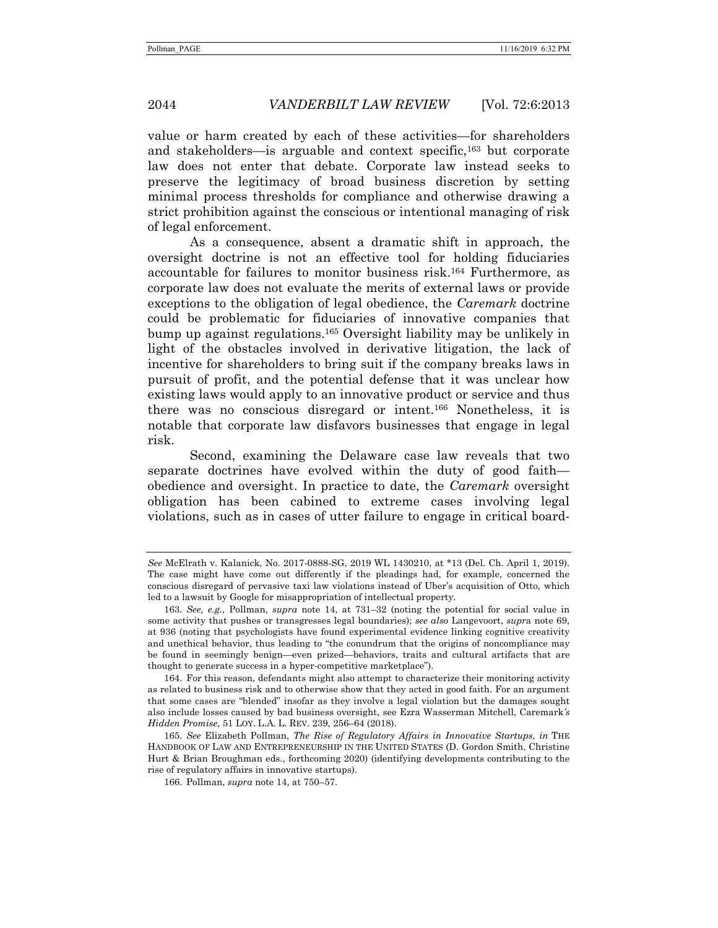value or harm created by each of these activities—for shareholders and stakeholders—is arguable and context specific,<sup>163</sup> but corporate law does not enter that debate. Corporate law instead seeks to preserve the legitimacy of broad business discretion by setting minimal process thresholds for compliance and otherwise drawing a strict prohibition against the conscious or intentional managing of risk of legal enforcement.

As a consequence, absent a dramatic shift in approach, the oversight doctrine is not an effective tool for holding fiduciaries accountable for failures to monitor business risk.164 Furthermore, as corporate law does not evaluate the merits of external laws or provide exceptions to the obligation of legal obedience, the *Caremark* doctrine could be problematic for fiduciaries of innovative companies that bump up against regulations.165 Oversight liability may be unlikely in light of the obstacles involved in derivative litigation, the lack of incentive for shareholders to bring suit if the company breaks laws in pursuit of profit, and the potential defense that it was unclear how existing laws would apply to an innovative product or service and thus there was no conscious disregard or intent.166 Nonetheless, it is notable that corporate law disfavors businesses that engage in legal risk.

Second, examining the Delaware case law reveals that two separate doctrines have evolved within the duty of good faith obedience and oversight. In practice to date, the *Caremark* oversight obligation has been cabined to extreme cases involving legal violations, such as in cases of utter failure to engage in critical board-

*See* McElrath v. Kalanick, No. 2017-0888-SG, 2019 WL 1430210, at \*13 (Del. Ch. April 1, 2019). The case might have come out differently if the pleadings had, for example, concerned the conscious disregard of pervasive taxi law violations instead of Uber's acquisition of Otto, which led to a lawsuit by Google for misappropriation of intellectual property.

<sup>163</sup>*. See, e.g.*, Pollman, *supra* note 14, at 731–32 (noting the potential for social value in some activity that pushes or transgresses legal boundaries); *see also* Langevoort, *supr*a note 69, at 936 (noting that psychologists have found experimental evidence linking cognitive creativity and unethical behavior, thus leading to "the conundrum that the origins of noncompliance may be found in seemingly benign—even prized—behaviors, traits and cultural artifacts that are thought to generate success in a hyper-competitive marketplace").

 <sup>164.</sup> For this reason, defendants might also attempt to characterize their monitoring activity as related to business risk and to otherwise show that they acted in good faith. For an argument that some cases are "blended" insofar as they involve a legal violation but the damages sought also include losses caused by bad business oversight, see Ezra Wasserman Mitchell, Caremark*'s Hidden Promise*, 51 LOY. L.A. L. REV. 239, 256–64 (2018).

<sup>165</sup>*. See* Elizabeth Pollman, *The Rise of Regulatory Affairs in Innovative Startups*, *in* THE HANDBOOK OF LAW AND ENTREPRENEURSHIP IN THE UNITED STATES (D. Gordon Smith, Christine Hurt & Brian Broughman eds., forthcoming 2020) (identifying developments contributing to the rise of regulatory affairs in innovative startups).

 <sup>166.</sup> Pollman, *supra* note 14, at 750–57.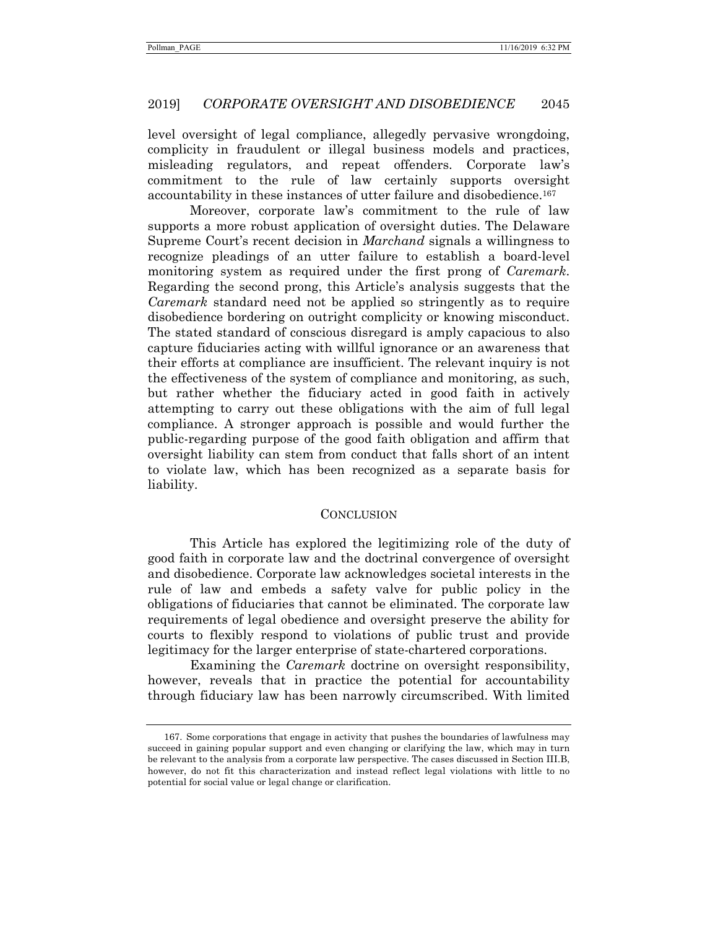level oversight of legal compliance, allegedly pervasive wrongdoing, complicity in fraudulent or illegal business models and practices, misleading regulators, and repeat offenders. Corporate law's commitment to the rule of law certainly supports oversight accountability in these instances of utter failure and disobedience.<sup>167</sup>

Moreover, corporate law's commitment to the rule of law supports a more robust application of oversight duties. The Delaware Supreme Court's recent decision in *Marchand* signals a willingness to recognize pleadings of an utter failure to establish a board-level monitoring system as required under the first prong of *Caremark*. Regarding the second prong, this Article's analysis suggests that the *Caremark* standard need not be applied so stringently as to require disobedience bordering on outright complicity or knowing misconduct. The stated standard of conscious disregard is amply capacious to also capture fiduciaries acting with willful ignorance or an awareness that their efforts at compliance are insufficient. The relevant inquiry is not the effectiveness of the system of compliance and monitoring, as such, but rather whether the fiduciary acted in good faith in actively attempting to carry out these obligations with the aim of full legal compliance. A stronger approach is possible and would further the public-regarding purpose of the good faith obligation and affirm that oversight liability can stem from conduct that falls short of an intent to violate law, which has been recognized as a separate basis for liability.

#### **CONCLUSION**

This Article has explored the legitimizing role of the duty of good faith in corporate law and the doctrinal convergence of oversight and disobedience. Corporate law acknowledges societal interests in the rule of law and embeds a safety valve for public policy in the obligations of fiduciaries that cannot be eliminated. The corporate law requirements of legal obedience and oversight preserve the ability for courts to flexibly respond to violations of public trust and provide legitimacy for the larger enterprise of state-chartered corporations.

Examining the *Caremark* doctrine on oversight responsibility, however, reveals that in practice the potential for accountability through fiduciary law has been narrowly circumscribed. With limited

 <sup>167.</sup> Some corporations that engage in activity that pushes the boundaries of lawfulness may succeed in gaining popular support and even changing or clarifying the law, which may in turn be relevant to the analysis from a corporate law perspective. The cases discussed in Section III.B, however, do not fit this characterization and instead reflect legal violations with little to no potential for social value or legal change or clarification.